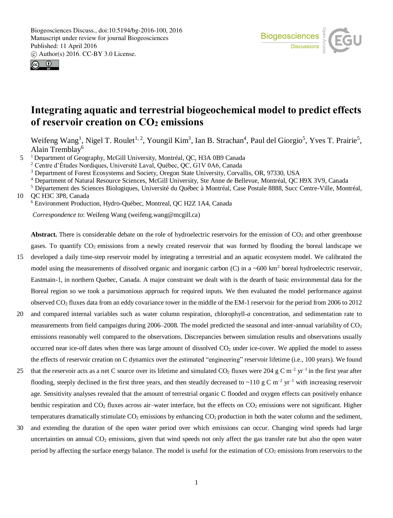



# **Integrating aquatic and terrestrial biogeochemical model to predict effects of reservoir creation on CO<sup>2</sup> emissions**

Weifeng Wang<sup>1</sup>, Nigel T. Roulet<sup>1, 2</sup>, Youngil Kim<sup>3</sup>, Ian B. Strachan<sup>4</sup>, Paul del Giorgio<sup>5</sup>, Yves T. Prairie<sup>5</sup>, Alain Tremblay<sup>6</sup>

5 <sup>1</sup> Department of Geography, McGill University, Montréal, QC, H3A 0B9 Canada

<sup>2</sup> Centre d'Études Nordiques, Université Laval, Québec, QC, G1V 0A6, Canada

<sup>3</sup> Department of Forest Ecosystems and Society, Oregon State University, Corvallis, OR, 97330, USA

<sup>4</sup> Department of Natural Resource Sciences, McGill University, Ste Anne de Bellevue, Montréal, QC H9X 3V9, Canada

<sup>5</sup> Département des Sciences Biologiques, Université du Québec à Montréal, Case Postale 8888, Succ Centre-Ville, Montréal,

10 QC H3C 3P8, Canada

<sup>6</sup> Environment Production, Hydro-Québec, Montreal, QC H2Z 1A4, Canada

*Correspondence to*: Weifeng Wang (weifeng.wang@mcgill.ca)

**Abstract.** There is considerable debate on the role of hydroelectric reservoirs for the emission of  $CO<sub>2</sub>$  and other greenhouse gases. To quantify  $CO_2$  emissions from a newly created reservoir that was formed by flooding the boreal landscape we

- 15 developed a daily time-step reservoir model by integrating a terrestrial and an aquatic ecosystem model. We calibrated the model using the measurements of dissolved organic and inorganic carbon (C) in a ~600 km<sup>2</sup> boreal hydroelectric reservoir, Eastmain-1, in northern Quebec, Canada. A major constraint we dealt with is the dearth of basic environmental data for the Boreal region so we took a parsimonious approach for required inputs. We then evaluated the model performance against observed  $CO<sub>2</sub>$  fluxes data from an eddy covariance tower in the middle of the EM-1 reservoir for the period from 2006 to 2012
- 20 and compared internal variables such as water column respiration, chlorophyll-*a* concentration, and sedimentation rate to measurements from field campaigns during  $2006-2008$ . The model predicted the seasonal and inter-annual variability of  $CO<sub>2</sub>$ emissions reasonably well compared to the observations. Discrepancies between simulation results and observations usually occurred near ice-off dates when there was large amount of dissolved  $CO<sub>2</sub>$  under ice-cover. We applied the model to assess the effects of reservoir creation on C dynamics over the estimated "engineering" reservoir lifetime (i.e., 100 years). We found
- 25 that the reservoir acts as a net C source over its lifetime and simulated CO<sub>2</sub> fluxes were 204 g C m<sup>-2</sup> yr<sup>-1</sup> in the first year after flooding, steeply declined in the first three years, and then steadily decreased to ~110 g C m<sup>-2</sup> yr<sup>-1</sup> with increasing reservoir age. Sensitivity analyses revealed that the amount of terrestrial organic C flooded and oxygen effects can positively enhance benthic respiration and  $CO<sub>2</sub>$  fluxes across air–water interface, but the effects on  $CO<sub>2</sub>$  emissions were not significant. Higher temperatures dramatically stimulate  $CO<sub>2</sub>$  emissions by enhancing  $CO<sub>2</sub>$  production in both the water column and the sediment,
- 30 and extending the duration of the open water period over which emissions can occur. Changing wind speeds had large uncertainties on annual  $CO<sub>2</sub>$  emissions, given that wind speeds not only affect the gas transfer rate but also the open water period by affecting the surface energy balance. The model is useful for the estimation of  $CO<sub>2</sub>$  emissions from reservoirs to the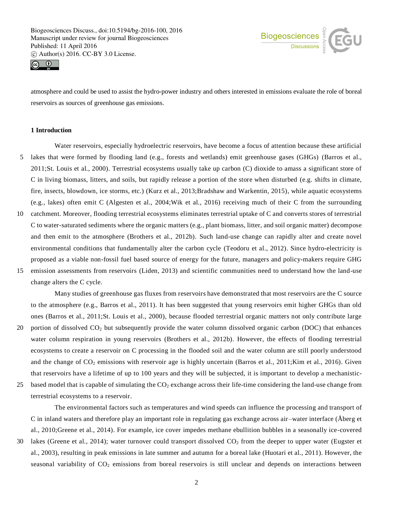



atmosphere and could be used to assist the hydro-power industry and others interested in emissions evaluate the role of boreal reservoirs as sources of greenhouse gas emissions.

# **1 Introduction**

- Water reservoirs, especially hydroelectric reservoirs, have become a focus of attention because these artificial 5 lakes that were formed by flooding land (e.g., forests and wetlands) emit greenhouse gases (GHGs) (Barros et al., 2011;St. Louis et al., 2000). Terrestrial ecosystems usually take up carbon (C) dioxide to amass a significant store of C in living biomass, litters, and soils, but rapidly release a portion of the store when disturbed (e.g. shifts in climate, fire, insects, blowdown, ice storms, etc.) (Kurz et al., 2013;Bradshaw and Warkentin, 2015), while aquatic ecosystems (e.g., lakes) often emit C (Algesten et al., 2004;Wik et al., 2016) receiving much of their C from the surrounding
- 10 catchment. Moreover, flooding terrestrial ecosystems eliminates terrestrial uptake of C and converts stores of terrestrial C to water-saturated sediments where the organic matters (e.g., plant biomass, litter, and soil organic matter) decompose and then emit to the atmosphere (Brothers et al., 2012b). Such land-use change can rapidly alter and create novel environmental conditions that fundamentally alter the carbon cycle (Teodoru et al., 2012). Since hydro-electricity is proposed as a viable non-fossil fuel based source of energy for the future, managers and policy-makers require GHG
- 15 emission assessments from reservoirs (Liden, 2013) and scientific communities need to understand how the land-use change alters the C cycle.

Many studies of greenhouse gas fluxes from reservoirs have demonstrated that most reservoirs are the C source to the atmosphere (e.g., Barros et al., 2011). It has been suggested that young reservoirs emit higher GHGs than old ones (Barros et al., 2011;St. Louis et al., 2000), because flooded terrestrial organic matters not only contribute large 20 portion of dissolved CO<sup>2</sup> but subsequently provide the water column dissolved organic carbon (DOC) that enhances water column respiration in young reservoirs (Brothers et al., 2012b). However, the effects of flooding terrestrial ecosystems to create a reservoir on C processing in the flooded soil and the water column are still poorly understood and the change of CO<sub>2</sub> emissions with reservoir age is highly uncertain (Barros et al., 2011;Kim et al., 2016). Given

25 based model that is capable of simulating the  $CO<sub>2</sub>$  exchange across their life-time considering the land-use change from terrestrial ecosystems to a reservoir.

The environmental factors such as temperatures and wind speeds can influence the processing and transport of C in inland waters and therefore play an important role in regulating gas exchange across air–water interface (Åberg et al., 2010;Greene et al., 2014). For example, ice cover impedes methane ebullition bubbles in a seasonally ice-covered

that reservoirs have a lifetime of up to 100 years and they will be subjected, it is important to develop a mechanistic-

30 lakes (Greene et al., 2014); water turnover could transport dissolved  $CO<sub>2</sub>$  from the deeper to upper water (Eugster et al., 2003), resulting in peak emissions in late summer and autumn for a boreal lake (Huotari et al., 2011). However, the seasonal variability of  $CO<sub>2</sub>$  emissions from boreal reservoirs is still unclear and depends on interactions between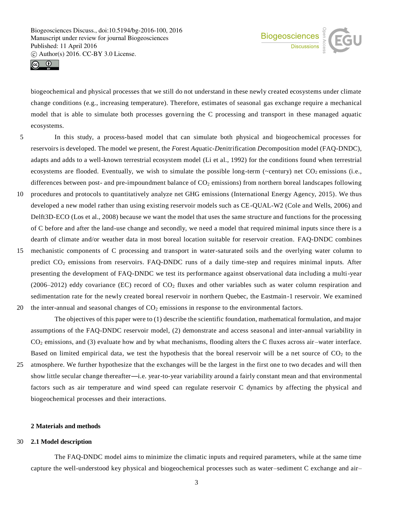



biogeochemical and physical processes that we still do not understand in these newly created ecosystems under climate change conditions (e.g., increasing temperature). Therefore, estimates of seasonal gas exchange require a mechanical model that is able to simulate both processes governing the C processing and transport in these managed aquatic ecosystems.

- 5 In this study, a process-based model that can simulate both physical and biogeochemical processes for reservoirs is developed. The model we present, the *F*orest *Aq*uatic-*D*e*n*itrification *D*e*c*omposition model (FAQ-DNDC), adapts and adds to a well-known terrestrial ecosystem model (Li et al., 1992) for the conditions found when terrestrial ecosystems are flooded. Eventually, we wish to simulate the possible long-term ( $\sim$ century) net CO<sub>2</sub> emissions (i.e., differences between post- and pre-impoundment balance of  $CO<sub>2</sub>$  emissions) from northern boreal landscapes following
- 10 procedures and protocols to quantitatively analyze net GHG emissions (International Energy Agency, 2015). We thus developed a new model rather than using existing reservoir models such as CE-QUAL-W2 (Cole and Wells, 2006) and Delft3D-ECO (Los et al., 2008) because we want the model that uses the same structure and functions for the processing of C before and after the land-use change and secondly, we need a model that required minimal inputs since there is a dearth of climate and/or weather data in most boreal location suitable for reservoir creation. FAQ-DNDC combines
- 15 mechanistic components of C processing and transport in water-saturated soils and the overlying water column to predict CO<sup>2</sup> emissions from reservoirs. FAQ-DNDC runs of a daily time-step and requires minimal inputs. After presenting the development of FAQ-DNDC we test its performance against observational data including a multi-year (2006–2012) eddy covariance (EC) record of  $CO<sub>2</sub>$  fluxes and other variables such as water column respiration and sedimentation rate for the newly created boreal reservoir in northern Quebec, the Eastmain-1 reservoir. We examined
- 20 the inter-annual and seasonal changes of  $CO<sub>2</sub>$  emissions in response to the environmental factors.

The objectives of this paper were to (1) describe the scientific foundation, mathematical formulation, and major assumptions of the FAQ-DNDC reservoir model, (2) demonstrate and access seasonal and inter-annual variability in CO<sup>2</sup> emissions, and (3) evaluate how and by what mechanisms, flooding alters the C fluxes across air –water interface. Based on limited empirical data, we test the hypothesis that the boreal reservoir will be a net source of  $CO<sub>2</sub>$  to the

25 atmosphere. We further hypothesize that the exchanges will be the largest in the first one to two decades and will then show little secular change thereafter—i.e. year-to-year variability around a fairly constant mean and that environmental factors such as air temperature and wind speed can regulate reservoir C dynamics by affecting the physical and biogeochemical processes and their interactions.

## **2 Materials and methods**

## 30 **2.1 Model description**

The FAQ-DNDC model aims to minimize the climatic inputs and required parameters, while at the same time capture the well-understood key physical and biogeochemical processes such as water–sediment C exchange and air–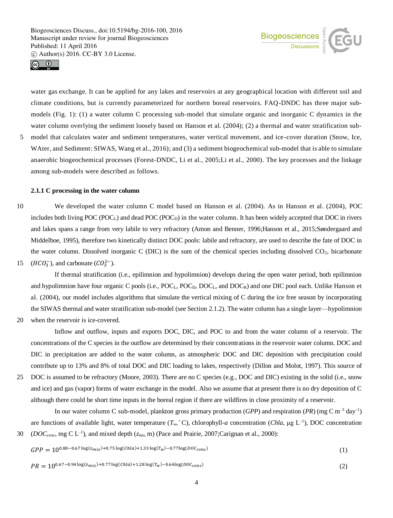

(1)

(2)



water gas exchange. It can be applied for any lakes and reservoirs at any geographical location with different soil and climate conditions, but is currently parameterized for northern boreal reservoirs. FAQ-DNDC has three major submodels (Fig. 1): (1) a water column C processing sub-model that simulate organic and inorganic C dynamics in the water column overlying the sediment loosely based on Hanson et al. (2004); (2) a thermal and water stratification sub-

5 model that calculates water and sediment temperatures, water vertical movement, and ice-cover duration (Snow, Ice, WAter, and Sediment: SIWAS, Wang et al., 2016); and (3) a sediment biogeochemical sub-model that is able to simulate anaerobic biogeochemical processes (Forest-DNDC, Li et al., 2005;Li et al., 2000). The key processes and the linkage among sub-models were described as follows.

## **2.1.1 C processing in the water column**

10 We developed the water column C model based on Hanson et al. (2004). As in Hanson et al. (2004), POC includes both living  $POC (POC<sub>L</sub>)$  and dead  $POC (POC<sub>D</sub>)$  in the water column. It has been widely accepted that DOC in rivers and lakes spans a range from very labile to very refractory (Amon and Benner, 1996;Hanson et al., 2015;Søndergaard and Middelboe, 1995), therefore two kinetically distinct DOC pools: labile and refractory, are used to describe the fate of DOC in the water column. Dissolved inorganic C (DIC) is the sum of the chemical species including dissolved  $CO<sub>2</sub>$ , bicarbonate 15 ( $HCO_3^-$ ), and carbonate ( $CO_3^{2-}$ ).

If thermal stratification (i.e., epilimnion and hypolimnion) develops during the open water period, both epilimnion and hypolimnion have four organic C pools (i.e.,  $POC<sub>L</sub>$ ,  $POC<sub>L</sub>$ , and  $DOC<sub>R</sub>$ ) and one DIC pool each. Unlike Hanson et al. (2004), our model includes algorithms that simulate the vertical mixing of C during the ice free season by incorporating the SIWAS thermal and water stratification sub-model (see Section 2.1.2). The water column has a single layer—hypolimnion

20 when the reservoir is ice-covered.

Inflow and outflow, inputs and exports DOC, DIC, and POC to and from the water column of a reservoir. The concentrations of the C species in the outflow are determined by their concentrations in the reservoir water column. DOC and DIC in precipitation are added to the water column, as atmospheric DOC and DIC deposition with precipitation could contribute up to 13% and 8% of total DOC and DIC loading to lakes, respectively (Dillon and Molot, 1997). This source of

25 DOC is assumed to be refractory (Moore, 2003). There are no C species (e.g., DOC and DIC) existing in the solid (i.e., snow and ice) and gas (vapor) forms of water exchange in the model. Also we assume that at present there is no dry deposition of C although there could be short time inputs in the boreal region if there are wildfires in close proximity of a reservoir.

In our water column C sub-model, plankton gross primary production (*GPP*) and respiration (*PR*) (mg C m–3 day–1 ) are functions of available light, water temperature  $(T_w, {}^{\circ}C)$ , chlorophyll-*a* concentration (*Chla*,  $\mu$ g L<sup>-1</sup>), DOC concentration 30 (*DOC*<sub>conc</sub>, mg C L<sup>-1</sup>), and mixed depth ( $z<sub>mix</sub>$ , m) (Pace and Prairie, 2007;Carignan et al., 2000):

$$
GPP = 10^{0.80 - 0.67 \log(z_{mix}) + 0.75 \log(Chla) + 1.33 \log(T_w) - 0.77 \log(DOC_{conc})}
$$

 $PR = 10^{0.67 - 0.94 \log(z_{mix}) + 0.77 \log(Chla) + 1.28 \log(T_w) - 0.64 \log(DOC_{conc})}$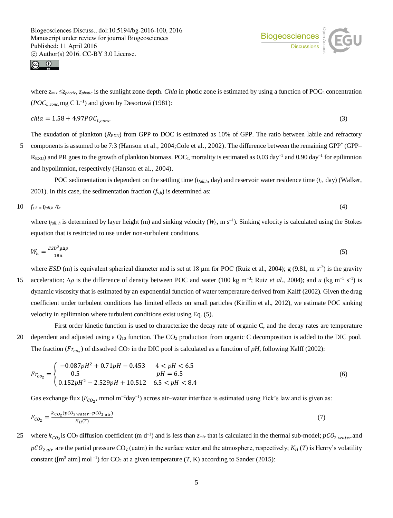



where *zmix* ≤*zphotic*, *zphotic* is the sunlight zone depth. *Chla* in photic zone is estimated by using a function of POCL concentration ( $POC<sub>L,conc</sub>$ , mg C L<sup>-1</sup>) and given by Desortová (1981):

$$
chla = 1.58 + 4.97POC_{L,conc}
$$
\n
$$
\tag{3}
$$

The exudation of plankton (*REXU*) from GPP to DOC is estimated as 10% of GPP. The ratio between labile and refractory 5 components is assumed to be 7:3 (Hanson et al., 2004; Cole et al., 2002). The difference between the remaining GPP<sup>\*</sup> (GPP–  $R_{\rm EXU}$ ) and PR goes to the growth of plankton biomass. POC<sub>L</sub> mortality is estimated as 0.03 day<sup>-1</sup> and 0.90 day<sup>-1</sup> for epilimnion and hypolimnion, respectively (Hanson et al., 2004).

POC sedimentation is dependent on the settling time (*tfall,h*, day) and reservoir water residence time (*tr*, day) (Walker, 2001). In this case, the sedimentation fraction  $(f_{s,h})$  is determined as:

$$
10 \t f_{s,h} = t_{fall,h}/t_r \t\t(4)
$$

where  $t_{fall, h}$  is determined by layer height (m) and sinking velocity ( $W_h$ , m s<sup>-1</sup>). Sinking velocity is calculated using the Stokes equation that is restricted to use under non-turbulent conditions.

$$
W_h = \frac{ESD^2g\Delta\rho}{18u} \tag{5}
$$

where *ESD* (m) is equivalent spherical diameter and is set at 18  $\mu$ m for POC (Ruiz et al., 2004); g (9.81, m s<sup>-2</sup>) is the gravity

15 acceleration; Δρ is the difference of density between POC and water (100 kg m<sup>-3</sup>; Ruiz *et al.*, 2004); and *u* (kg m<sup>-1</sup> s<sup>-1</sup>) is dynamic viscosity that is estimated by an exponential function of water temperature derived from Kalff (2002). Given the drag coefficient under turbulent conditions has limited effects on small particles (Kirillin et al., 2012), we estimate POC sinking velocity in epilimnion where turbulent conditions exist using Eq. (5).

First order kinetic function is used to characterize the decay rate of organic C, and the decay rates are temperature 20 dependent and adjusted using a  $Q_{10}$  function. The  $CO_2$  production from organic C decomposition is added to the DIC pool. The fraction ( $Fr_{co_2}$ ) of dissolved CO<sub>2</sub> in the DIC pool is calculated as a function of pH, following Kalff (2002):

$$
Fr_{co_2} = \begin{cases} -0.087pH^2 + 0.71pH - 0.453 & 4 < pH < 6.5\\ 0.5 & pH = 6.5\\ 0.152pH^2 - 2.529pH + 10.512 & 6.5 < pH < 8.4 \end{cases} \tag{6}
$$

Gas exchange flux ( $F_{CO_2}$ , mmol m<sup>-2</sup>day<sup>-1</sup>) across air-water interface is estimated using Fick's law and is given as:

$$
F_{CO_2} = \frac{k_{CO_2}(pCO_2 \text{ water} - pCO_2 \text{ air})}{K_H(T)}\tag{7}
$$

25 where  $k_{CO_2}$  is CO<sub>2</sub> diffusion coefficient (m d<sup>-1</sup>) and is less than  $z_{mix}$  that is calculated in the thermal sub-model;  $pCO_{2,water}$  and  $pCO<sub>2 air</sub>$  are the partial pressure CO<sub>2</sub> (µatm) in the surface water and the atmosphere, respectively;  $K_H(T)$  is Henry's volatility constant ( $[m^3 \text{ atm}] \text{ mol}^{-1}$ ) for CO<sub>2</sub> at a given temperature (*T*, K) according to Sander (2015):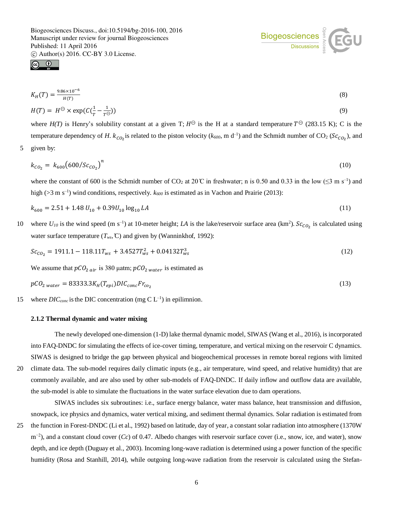$\bigcirc$ 

$$
K_H(T) = \frac{9.86 \times 10^{-6}}{H(T)}
$$
(8)

$$
H(T) = H^{\ominus} \times \exp(C(\frac{1}{T} - \frac{1}{T^{\ominus}}))
$$
\n(9)

where  $H(T)$  is Henry's solubility constant at a given T;  $H^{\ominus}$  is the H at a standard temperature  $T^{\ominus}$  (283.15 K); C is the temperature dependency of *H*.  $k_{CO_2}$  is related to the piston velocity ( $k_{600}$ , m d<sup>-1</sup>) and the Schmidt number of CO<sub>2</sub> ( $Sc_{CO_2}$ ), and 5 given by:

$$
k_{CO_2} = k_{600} (600/Sc_{CO_2})^n
$$
 (10)

where the constant of 600 is the Schmidt number of CO<sub>2</sub> at 20°C in freshwater; n is 0.50 and 0.33 in the low ( $\leq$ 3 m s<sup>-1</sup>) and high (>3 m s<sup>-1</sup>) wind conditions, respectively.  $k_{600}$  is estimated as in Vachon and Prairie (2013):

$$
k_{600} = 2.51 + 1.48 U_{10} + 0.39 U_{10} \log_{10} LA \tag{11}
$$

10 where  $U_{10}$  is the wind speed (m s<sup>-1</sup>) at 10-meter height; *LA* is the lake/reservoir surface area (km<sup>2</sup>). Sc<sub>co<sub>2</sub></sub> is calculated using water surface temperature  $(T_{ws}, \mathbb{C})$  and given by (Wanninkhof, 1992):

$$
Sc_{CO_2} = 1911.1 - 118.11T_{ws} + 3.4527T_{ws}^2 + 0.04132T_{ws}^3
$$
\n
$$
(12)
$$

We assume that  $pCO_{2\ air}$  is 380 μatm;  $pCO_{2\ water}$  is estimated as

$$
pCO_{2\ water} = 83333.3K_H(T_{epi})DIC_{conc}Fr_{co_2}
$$
\n
$$
(13)
$$

15 where  $DIC_{conc}$  is the DIC concentration (mg C  $L^{-1}$ ) in epilimnion.

## **2.1.2 Thermal dynamic and water mixing**

The newly developed one-dimension (1-D) lake thermal dynamic model, SIWAS (Wang et al., 2016), is incorporated into FAQ-DNDC for simulating the effects of ice-cover timing, temperature, and vertical mixing on the reservoir C dynamics. SIWAS is designed to bridge the gap between physical and biogeochemical processes in remote boreal regions with limited

20 climate data. The sub-model requires daily climatic inputs (e.g., air temperature, wind speed, and relative humidity) that are commonly available, and are also used by other sub-models of FAQ-DNDC. If daily inflow and outflow data are available, the sub-model is able to simulate the fluctuations in the water surface elevation due to dam operations.

SIWAS includes six subroutines: i.e., surface energy balance, water mass balance, heat transmission and diffusion, snowpack, ice physics and dynamics, water vertical mixing, and sediment thermal dynamics. Solar radiation is estimated from

25 the function in Forest-DNDC (Li et al., 1992) based on latitude, day of year, a constant solar radiation into atmosphere (1370W m<sup>-2</sup>), and a constant cloud cover (*Cc*) of 0.47. Albedo changes with reservoir surface cover (i.e., snow, ice, and water), snow depth, and ice depth (Duguay et al., 2003). Incoming long-wave radiation is determined using a power function of the specific humidity (Rosa and Stanhill, 2014), while outgoing long-wave radiation from the reservoir is calculated using the Stefan-

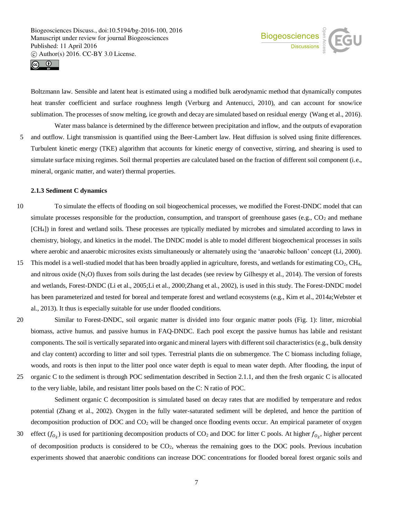



Boltzmann law. Sensible and latent heat is estimated using a modified bulk aerodynamic method that dynamically computes heat transfer coefficient and surface roughness length (Verburg and Antenucci, 2010), and can account for snow/ice sublimation. The processes of snow melting, ice growth and decay are simulated based on residual energy (Wang et al., 2016).

Water mass balance is determined by the difference between precipitation and inflow, and the outputs of evaporation 5 and outflow. Light transmission is quantified using the Beer-Lambert law. Heat diffusion is solved using finite differences. Turbulent kinetic energy (TKE) algorithm that accounts for kinetic energy of convective, stirring, and shearing is used to simulate surface mixing regimes. Soil thermal properties are calculated based on the fraction of different soil component (i.e., mineral, organic matter, and water) thermal properties.

#### **2.1.3 Sediment C dynamics**

- 10 To simulate the effects of flooding on soil biogeochemical processes, we modified the Forest-DNDC model that can simulate processes responsible for the production, consumption, and transport of greenhouse gases (e.g.,  $CO_2$  and methane [CH4]) in forest and wetland soils. These processes are typically mediated by microbes and simulated according to laws in chemistry, biology, and kinetics in the model. The DNDC model is able to model different biogeochemical processes in soils where aerobic and anaerobic microsites exists simultaneously or alternately using the 'anaerobic balloon' concept (Li, 2000).
- 15 This model is a well-studied model that has been broadly applied in agriculture, forests, and wetlands for estimating CO<sub>2</sub>, CH<sub>4</sub>, and nitrous oxide  $(N_2O)$  fluxes from soils during the last decades (see review by Gilhespy et al., 2014). The version of forests and wetlands, Forest-DNDC (Li et al., 2005;Li et al., 2000;Zhang et al., 2002), is used in this study. The Forest-DNDC model has been parameterized and tested for boreal and temperate forest and wetland ecosystems (e.g., Kim et al., 2014a; Webster et al., 2013). It thus is especially suitable for use under flooded conditions.
- 20 Similar to Forest-DNDC, soil organic matter is divided into four organic matter pools (Fig. 1): litter, microbial biomass, active humus, and passive humus in FAQ-DNDC. Each pool except the passive humus has labile and resistant components. The soil is vertically separated into organic and mineral layers with different soil characteristics (e.g., bulk density and clay content) according to litter and soil types. Terrestrial plants die on submergence. The C biomass including foliage, woods, and roots is then input to the litter pool once water depth is equal to mean water depth. After flooding, the input of 25 organic C to the sediment is through POC sedimentation described in Section 2.1.1, and then the fresh organic C is allocated to the very liable, labile, and resistant litter pools based on the C: N ratio of POC.

Sediment organic C decomposition is simulated based on decay rates that are modified by temperature and redox potential (Zhang et al., 2002). Oxygen in the fully water-saturated sediment will be depleted, and hence the partition of decomposition production of DOC and CO<sub>2</sub> will be changed once flooding events occur. An empirical parameter of oxygen

30 effect  $(f_{O_2})$  is used for partitioning decomposition products of CO<sub>2</sub> and DOC for litter C pools. At higher  $f_{O_2}$ , higher percent of decomposition products is considered to be  $CO<sub>2</sub>$ , whereas the remaining goes to the DOC pools. Previous incubation experiments showed that anaerobic conditions can increase DOC concentrations for flooded boreal forest organic soils and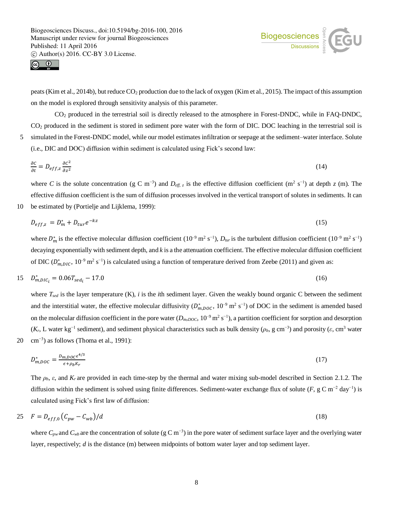



peats (Kim et al., 2014b), but reduce CO<sub>2</sub> production due to the lack of oxygen (Kim et al., 2015). The impact of this assumption on the model is explored through sensitivity analysis of this parameter.

CO<sup>2</sup> produced in the terrestrial soil is directly released to the atmosphere in Forest-DNDC, while in FAQ-DNDC, CO<sup>2</sup> produced in the sediment is stored in sediment pore water with the form of DIC. DOC leaching in the terrestrial soil is 5 simulated in the Forest-DNDC model, while our model estimates infiltration or seepage at the sediment–water interface. Solute (i.e., DIC and DOC) diffusion within sediment is calculated using Fick's second law:

$$
\frac{\partial c}{\partial t} = D_{eff,z} \frac{\partial c^2}{\partial z^2} \tag{14}
$$

where *C* is the solute concentration (g C m<sup>-3</sup>) and  $D_{\text{eff}}$ , *z* is the effective diffusion coefficient (m<sup>2</sup> s<sup>-1</sup>) at depth *z* (m). The effective diffusion coefficient is the sum of diffusion processes involved in the vertical transport of solutes in sediments. It can 10 be estimated by (Portielje and Lijklema, 1999):

$$
D_{eff,z} = D_m^* + D_{tur}e^{-kz} \tag{15}
$$

where  $D_m^*$  is the effective molecular diffusion coefficient  $(10^{-9} \text{ m}^2 \text{ s}^{-1})$ ,  $D_{tur}$  is the turbulent diffusion coefficient  $(10^{-9} \text{ m}^2 \text{ s}^{-1})$ decaying exponentially with sediment depth, and *k* is a the attenuation coefficient. The effective molecular diffusion coefficient of DIC  $(D_{m,DIC}^*$ ,  $10^{-9}$  m<sup>2</sup> s<sup>-1</sup>) is calculated using a function of temperature derived from Zeebe (2011) and given as:

$$
15 \t D_{m,DIC_i}^* = 0.06T_{sed_i} - 17.0 \t (16)
$$

where *Tsed* is the layer temperature (K), *i* is the *i*th sediment layer. Given the weakly bound organic C between the sediment and the interstitial water, the effective molecular diffusivity  $(D_{m,DOC}^*$ ,  $10^{-9}$  m<sup>2</sup> s<sup>-1</sup>) of DOC in the sediment is amended based on the molecular diffusion coefficient in the pore water  $(D_{m, DOC}, 10^{-9} \text{ m}^2 \text{ s}^{-1})$ , a partition coefficient for sorption and desorption  $(K_r, L$  water kg<sup>-1</sup> sediment), and sediment physical characteristics such as bulk density ( $\rho_b$ , g cm<sup>-3</sup>) and porosity ( $\varepsilon$ , cm<sup>3</sup> water 20  $\text{cm}^{-3}$ ) as follows (Thoma et al., 1991):

$$
D_{m,DOC}^* = \frac{D_{m,DOC}\epsilon^{4/3}}{\epsilon + \rho_b K_r} \tag{17}
$$

The *ρb*, *ε*, and *Kr* are provided in each time-step by the thermal and water mixing sub-model described in Section 2.1.2. The diffusion within the sediment is solved using finite differences. Sediment-water exchange flux of solute  $(F, g C m^{-2} day^{-1})$  is calculated using Fick's first law of diffusion:

$$
25 \tF = D_{eff,0} (C_{pw} - C_{wb})/d \t(18)
$$

where *Cpw* and *Cwb* are the concentration of solute (g C m−3) in the pore water of sediment surface layer and the overlying water layer, respectively; *d* is the distance (m) between midpoints of bottom water layer and top sediment layer.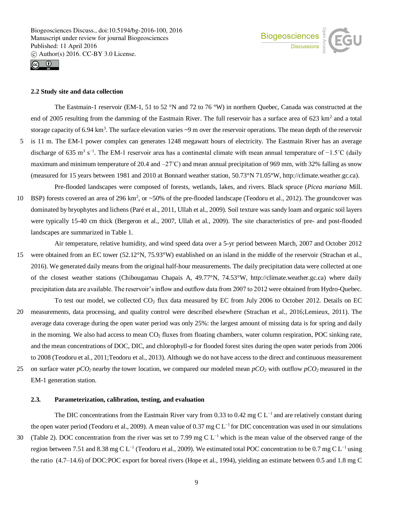



### **2.2 Study site and data collection**

The Eastmain-1 reservoir (EM-1, 51 to 52 °N and 72 to 76 °W) in northern Quebec, Canada was constructed at the end of 2005 resulting from the damming of the Eastmain River. The full reservoir has a surface area of  $623 \text{ km}^2$  and a total storage capacity of 6.94 km<sup>3</sup>. The surface elevation varies ~9 m over the reservoir operations. The mean depth of the reservoir 5 is 11 m. The EM-1 power complex can generates 1248 megawatt hours of electricity. The Eastmain River has an average discharge of 635 m<sup>3</sup> s<sup>-1</sup>. The EM-1 reservoir area has a continental climate with mean annual temperature of  $-1.5^{\circ}$ C (daily maximum and minimum temperature of 20.4 and  $-27^{\circ}$ C) and mean annual precipitation of 969 mm, with 32% falling as snow (measured for 15 years between 1981 and 2010 at Bonnard weather station, 50.73°N 71.05°W, http://climate.weather.gc.ca).

Pre-flooded landscapes were composed of forests, wetlands, lakes, and rivers. Black spruce (*Picea mariana* Mill. 10 BSP) forests covered an area of 296  $km^2$ , or  $\sim$  50% of the pre-flooded landscape (Teodoru et al., 2012). The groundcover was dominated by bryophytes and lichens (Paré et al., 2011, Ullah et al., 2009). Soil texture was sandy loam and organic soil layers were typically 15-40 cm thick (Bergeron et al., 2007, Ullah et al., 2009). The site characteristics of pre- and post-flooded landscapes are summarized in Table 1.

Air temperature, relative humidity, and wind speed data over a 5-yr period between March, 2007 and October 2012 15 were obtained from an EC tower (52.12°N, 75.93°W) established on an island in the middle of the reservoir (Strachan et al., 2016). We generated daily means from the original half-hour measurements. The daily precipitation data were collected at one of the closest weather stations (Chibougamau Chapais A, 49.77°N, 74.53°W, http://climate.weather.gc.ca) where daily precipitation data are available. The reservoir's inflow and outflow data from 2007 to 2012 were obtained from Hydro-Quebec.

To test our model, we collected  $CO<sub>2</sub>$  flux data measured by EC from July 2006 to October 2012. Details on EC 20 measurements, data processing, and quality control were described elsewhere (Strachan et al., 2016;Lemieux, 2011). The average data coverage during the open water period was only 25%: the largest amount of missing data is for spring and daily in the morning. We also had access to mean CO<sub>2</sub> fluxes from floating chambers, water column respiration, POC sinking rate, and the mean concentrations of DOC, DIC, and chlorophyll-*a* for flooded forest sites during the open water periods from 2006 to 2008 (Teodoru et al., 2011;Teodoru et al., 2013). Although we do not have access to the direct and continuous measurement

25 on surface water *pCO2* nearby the tower location, we compared our modeled mean *pCO<sup>2</sup>* with outflow *pCO2* measured in the EM-1 generation station.

## **2.3. Parameterization, calibration, testing, and evaluation**

The DIC concentrations from the Eastmain River vary from 0.33 to 0.42 mg C L<sup>−1</sup> and are relatively constant during the open water period (Teodoru et al., 2009). A mean value of 0.37 mg C L<sup>-1</sup> for DIC concentration was used in our simulations

(Table 2). DOC concentration from the river was set to 7.99 mg C L<sup>-1</sup> which is the mean value of the observed range of the region between 7.51 and 8.38 mg C L<sup>−1</sup> (Teodoru et al., 2009). We estimated total POC concentration to be 0.7 mg C L<sup>−1</sup> using the ratio (4.7–14.6) of DOC:POC export for boreal rivers (Hope et al., 1994), yielding an estimate between 0.5 and 1.8 mg C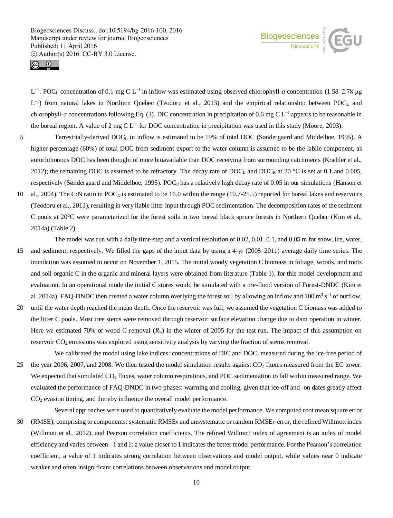



L −1. POC<sup>L</sup> concentration of 0.1 mg C L−1 in inflow was estimated using observed chlorophyll-*a* concentration (1.58–2.78 μg  $L^{-1}$ ) from natural lakes in Northern Quebec (Teodoru et al., 2013) and the empirical relationship between POC<sub>L</sub> and chlorophyll-*a* concentrations following Eq. (3). DIC concentration in precipitation of 0.6 mg C L−1 appears to be reasonable in the boreal region. A value of 2 mg C L<sup>−1</sup> for DOC concentration in precipitation was used in this study (Moore, 2003).

- 5 Terrestrially-derived DOC<sub>L</sub> in inflow is estimated to be 19% of total DOC (Søndergaard and Middelboe, 1995). A higher percentage (60%) of total DOC from sediment export to the water column is assumed to be the labile component, as autochthonous DOC has been thought of more bioavailable than DOC receiving from surrounding catchments (Koehler et al., 2012); the remaining DOC is assumed to be refractory. The decay rate of DOC<sub>L</sub> and DOC<sub>R</sub> at 20 °C is set at 0.1 and 0.005, respectively (Søndergaard and Middelboe, 1995). POC<sub>D</sub> has a relatively high decay rate of 0.05 in our simulations (Hanson et
- 10 al., 2004). The C:N ratio in POC<sub>D</sub> is estimated to be 16.0 within the range (10.7-25.5) reported for boreal lakes and reservoirs (Teodoru et al., 2013), resulting in very liable litter input through POC sedimentation. The decomposition rates of the sediment C pools at 20°C were parameterized for the forest soils in two boreal black spruce forests in Northern Quebec (Kim et al., 2014a) (Table 2).
- The model was run with a daily time-step and a vertical resolution of 0.02, 0.01, 0.1, and 0.05 m for snow, ice, water, 15 and sediment, respectively. We filled the gaps of the input data by using a 4-yr (2008–2011) average daily time series. The inundation was assumed to occur on November 1, 2015. The initial woody vegetation C biomass in foliage, woods, and roots and soil organic C in the organic and mineral layers were obtained from literature (Table 1), for this model development and evaluation. In an operational mode the initial C stores would be simulated with a pre-flood version of Forest-DNDC (Kim et al. 2014a). FAQ-DNDC then created a water column overlying the forest soil by allowing an inflow and 100  $\text{m}^3$  s<sup>-1</sup> of outflow,
- 20 until the water depth reached the mean depth. Once the reservoir was full, we assumed the vegetation C biomass was added to the litter C pools. Most tree stems were removed through reservoir surface elevation change due to dam operation in winter. Here we estimated 70% of wood C removal  $(R_w)$  in the winter of 2005 for the test run. The impact of this assumption on reservoir CO<sub>2</sub> emissions was explored using sensitivity analysis by varying the fraction of stems removal.

We calibrated the model using lake indices: concentrations of DIC and DOC, measured during the ice-free period of 25 the year 2006, 2007, and 2008. We then tested the model simulation results against  $CO<sub>2</sub>$  fluxes measured from the EC tower. We expected that simulated  $CO<sub>2</sub>$  fluxes, water column respirations, and POC sedimentation to fall within measured range. We evaluated the performance of FAQ-DNDC in two phases: warming and cooling, given that ice-off and -on dates greatly affect CO<sup>2</sup> evasion timing, and thereby influence the overall model performance.

Several approaches were used to quantitatively evaluate the model performance. We computed root mean square error  $30$  (RMSE), comprising to components: systematic RMSE<sub>S</sub> and unsystematic or random RMSE<sub>U</sub> error, the refined Willmott index (Willmott et al., 2012), and Pearson correlation coefficients. The refined Willmott index of agreement is an index of model efficiency and varies between –1 and 1: a value closer to 1 indicates the better model performance. For the Pearson's correlation coefficient, a value of 1 indicates strong correlation between observations and model output, while values near 0 indicate weaker and often insignificant correlations between observations and model output.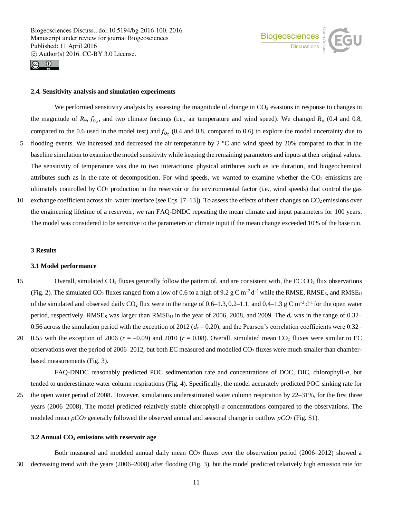

#### **2.4. Sensitivity analysis and simulation experiments**

We performed sensitivity analysis by assessing the magnitude of change in  $CO<sub>2</sub>$  evasions in response to changes in the magnitude of  $R_w$ ,  $f_{O_2}$ , and two climate forcings (i.e., air temperature and wind speed). We changed  $R_w$  (0.4 and 0.8, compared to the 0.6 used in the model test) and  $f_{O_2}$  (0.4 and 0.8, compared to 0.6) to explore the model uncertainty due to 5 flooding events. We increased and decreased the air temperature by 2  $^{\circ}$ C and wind speed by 20% compared to that in the baseline simulation to examine the model sensitivity while keeping the remaining parameters and inputs at their original values. The sensitivity of temperature was due to two interactions: physical attributes such as ice duration, and biogeochemical attributes such as in the rate of decomposition. For wind speeds, we wanted to examine whether the  $CO<sub>2</sub>$  emissions are ultimately controlled by  $CO_2$  production in the reservoir or the environmental factor (i.e., wind speeds) that control the gas

10 exchange coefficient across air–water interface (see Eqs.  $[7-13]$ ). To assess the effects of these changes on  $CO<sub>2</sub>$  emissions over the engineering lifetime of a reservoir, we ran FAQ-DNDC repeating the mean climate and input parameters for 100 years. The model was considered to be sensitive to the parameters or climate input if the mean change exceeded 10% of the base run.

# **3 Results**

#### **3.1 Model performance**

- 15 Overall, simulated  $CO<sub>2</sub>$  fluxes generally follow the pattern of, and are consistent with, the EC  $CO<sub>2</sub>$  flux observations (Fig. 2). The simulated CO<sub>2</sub> fluxes ranged from a low of 0.6 to a high of 9.2 g C m<sup>-2</sup> d<sup>-1</sup> while the RMSE, RMSE<sub>S</sub>, and RMSE<sub>U</sub> of the simulated and observed daily CO<sub>2</sub> flux were in the range of  $0.6-1.3, 0.2-1.1$ , and  $0.4-1.3$  g C m<sup>-2</sup> d<sup>-1</sup> for the open water period, respectively. RMSE<sub>S</sub> was larger than  $RMSE_U$  in the year of 2006, 2008, and 2009. The  $d_r$  was in the range of 0.32– 0.56 across the simulation period with the exception of 2012 ( $d<sub>r</sub>$  = 0.20), and the Pearson's correlation coefficients were 0.32–
- 20 0.55 with the exception of 2006 ( $r = -0.09$ ) and 2010 ( $r = 0.08$ ). Overall, simulated mean CO<sub>2</sub> fluxes were similar to EC observations over the period of 2006–2012, but both EC measured and modelled CO<sup>2</sup> fluxes were much smaller than chamberbased measurements (Fig. 3).

FAQ-DNDC reasonably predicted POC sedimentation rate and concentrations of DOC, DIC, chlorophyll-*a*, but tended to underestimate water column respirations (Fig. 4). Specifically, the model accurately predicted POC sinking rate for

25 the open water period of 2008. However, simulations underestimated water column respiration by 22–31%, for the first three years (2006–2008). The model predicted relatively stable chlorophyll-*a* concentrations compared to the observations. The modeled mean  $pCO_2$  generally followed the observed annual and seasonal change in outflow  $pCO_2$  (Fig. S1).

## **3.2 Annual CO<sup>2</sup> emissions with reservoir age**

Both measured and modeled annual daily mean  $CO<sub>2</sub>$  fluxes over the observation period (2006–2012) showed a 30 decreasing trend with the years (2006–2008) after flooding (Fig. 3), but the model predicted relatively high emission rate for

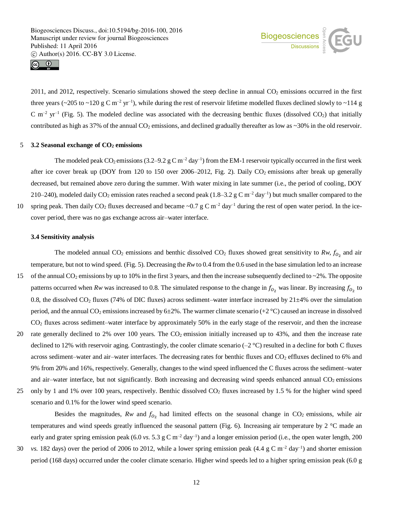



 $2011$ , and  $2012$ , respectively. Scenario simulations showed the steep decline in annual  $CO<sub>2</sub>$  emissions occurred in the first three years ( $\sim$ 205 to  $\sim$ 120 g C m<sup>-2</sup> yr<sup>-1</sup>), while during the rest of reservoir lifetime modelled fluxes declined slowly to  $\sim$ 114 g  $C$  m<sup>-2</sup> yr<sup>-1</sup> (Fig. 5). The modeled decline was associated with the decreasing benthic fluxes (dissolved  $CO_2$ ) that initially contributed as high as 37% of the annual  $CO<sub>2</sub>$  emissions, and declined gradually thereafter as low as  $\sim$ 30% in the old reservoir.

# 5 **3.2 Seasonal exchange of CO<sup>2</sup> emissions**

The modeled peak CO<sub>2</sub> emissions (3.2–9.2 g C m<sup>-2</sup> day<sup>-1</sup>) from the EM-1 reservoir typically occurred in the first week after ice cover break up (DOY from 120 to 150 over 2006–2012, Fig. 2). Daily CO<sub>2</sub> emissions after break up generally decreased, but remained above zero during the summer. With water mixing in late summer (i.e., the period of cooling, DOY 210–240), modeled daily CO<sub>2</sub> emission rates reached a second peak (1.8–3.2 g C m<sup>-2</sup> day<sup>-1</sup>) but much smaller compared to the

10 spring peak. Then daily CO<sub>2</sub> fluxes decreased and became ~0.7 g C m<sup>-2</sup> day<sup>-1</sup> during the rest of open water period. In the ice-

cover period, there was no gas exchange across air–water interface.

## **3.4 Sensitivity analysis**

The modeled annual  $CO_2$  emissions and benthic dissolved  $CO_2$  fluxes showed great sensitivity to  $Rw$ ,  $f_{O_2}$  and air temperature, but not to wind speed. (Fig. 5). Decreasing the *Rw*to 0.4 from the 0.6 used in the base simulation led to an increase

- 15 of the annual CO<sub>2</sub> emissions by up to 10% in the first 3 years, and then the increase subsequently declined to  $\sim$ 2%. The opposite patterns occurred when *Rw* was increased to 0.8. The simulated response to the change in  $f_{0_2}$  was linear. By increasing  $f_{0_2}$  to 0.8, the dissolved  $CO<sub>2</sub>$  fluxes (74% of DIC fluxes) across sediment–water interface increased by  $21\pm4\%$  over the simulation period, and the annual CO<sub>2</sub> emissions increased by 6±2%. The warmer climate scenario (+2  $^{\circ}$ C) caused an increase in dissolved  $CO<sub>2</sub>$  fluxes across sediment–water interface by approximately 50% in the early stage of the reservoir, and then the increase
- 20 rate generally declined to 2% over 100 years. The  $CO<sub>2</sub>$  emission initially increased up to 43%, and then the increase rate declined to 12% with reservoir aging. Contrastingly, the cooler climate scenario  $(-2 \degree C)$  resulted in a decline for both C fluxes across sediment–water and air–water interfaces. The decreasing rates for benthic fluxes and  $CO<sub>2</sub>$  effluxes declined to 6% and 9% from 20% and 16%, respectively. Generally, changes to the wind speed influenced the C fluxes across the sediment–water and air–water interface, but not significantly. Both increasing and decreasing wind speeds enhanced annual CO<sub>2</sub> emissions
- 25 only by 1 and 1% over 100 years, respectively. Benthic dissolved CO<sup>2</sup> fluxes increased by 1.5 % for the higher wind speed scenario and 0.1% for the lower wind speed scenario.

Besides the magnitudes,  $Rw$  and  $f_{O_2}$  had limited effects on the seasonal change in  $CO_2$  emissions, while air temperatures and wind speeds greatly influenced the seasonal pattern (Fig. 6). Increasing air temperature by  $2 \degree C$  made an early and grater spring emission peak (6.0 *vs.* 5.3 g C m<sup>-2</sup> day<sup>-1</sup>) and a longer emission period (i.e., the open water length, 200

30 vs. 182 days) over the period of 2006 to 2012, while a lower spring emission peak  $(4.4 \text{ g C m}^{-2} \text{ day}^{-1})$  and shorter emission period (168 days) occurred under the cooler climate scenario. Higher wind speeds led to a higher spring emission peak (6.0 g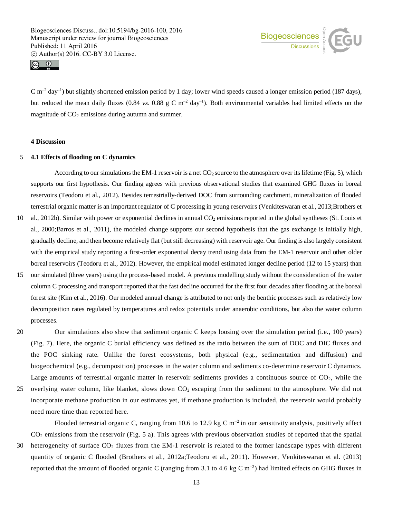



 $C m^{-2}$  day<sup>-1</sup>) but slightly shortened emission period by 1 day; lower wind speeds caused a longer emission period (187 days), but reduced the mean daily fluxes (0.84 *vs.* 0.88  $g \text{ C m}^{-2}$  day<sup>-1</sup>). Both environmental variables had limited effects on the magnitude of  $CO<sub>2</sub>$  emissions during autumn and summer.

## **4 Discussion**

## 5 **4.1 Effects of flooding on C dynamics**

need more time than reported here.

According to our simulations the EM-1 reservoir is a net  $CO_2$  source to the atmosphere over its lifetime (Fig. 5), which supports our first hypothesis. Our finding agrees with previous observational studies that examined GHG fluxes in boreal reservoirs (Teodoru et al., 2012). Besides terrestrially-derived DOC from surrounding catchment, mineralization of flooded terrestrial organic matter is an important regulator of C processing in young reservoirs (Venkiteswaran et al., 2013;Brothers et

- 10 al., 2012b). Similar with power or exponential declines in annual CO<sub>2</sub> emissions reported in the global syntheses (St. Louis et al., 2000;Barros et al., 2011), the modeled change supports our second hypothesis that the gas exchange is initially high, gradually decline, and then become relatively flat (but still decreasing) with reservoir age. Our finding is also largely consistent with the empirical study reporting a first-order exponential decay trend using data from the EM-1 reservoir and other older boreal reservoirs (Teodoru et al., 2012). However, the empirical model estimated longer decline period (12 to 15 years) than
- 15 our simulated (three years) using the process-based model. A previous modelling study without the consideration of the water column C processing and transport reported that the fast decline occurred for the first four decades after flooding at the boreal forest site (Kim et al., 2016). Our modeled annual change is attributed to not only the benthic processes such as relatively low decomposition rates regulated by temperatures and redox potentials under anaerobic conditions, but also the water column processes.
- 

20 Our simulations also show that sediment organic C keeps loosing over the simulation period (i.e., 100 years) (Fig. 7). Here, the organic C burial efficiency was defined as the ratio between the sum of DOC and DIC fluxes and the POC sinking rate. Unlike the forest ecosystems, both physical (e.g., sedimentation and diffusion) and biogeochemical (e.g., decomposition) processes in the water column and sediments co-determine reservoir C dynamics. Large amounts of terrestrial organic matter in reservoir sediments provides a continuous source of  $CO<sub>2</sub>$ , while the 25 overlying water column, like blanket, slows down CO<sup>2</sup> escaping from the sediment to the atmosphere. We did not incorporate methane production in our estimates yet, if methane production is included, the reservoir would probably

Flooded terrestrial organic C, ranging from 10.6 to 12.9 kg C  $m^{-2}$  in our sensitivity analysis, positively affect CO<sup>2</sup> emissions from the reservoir (Fig. 5 a). This agrees with previous observation studies of reported that the spatial 30 heterogeneity of surface  $CO<sub>2</sub>$  fluxes from the EM-1 reservoir is related to the former landscape types with different quantity of organic C flooded (Brothers et al., 2012a;Teodoru et al., 2011). However, Venkiteswaran et al. (2013) reported that the amount of flooded organic C (ranging from 3.1 to 4.6 kg C  $\rm{m}^{-2}$ ) had limited effects on GHG fluxes in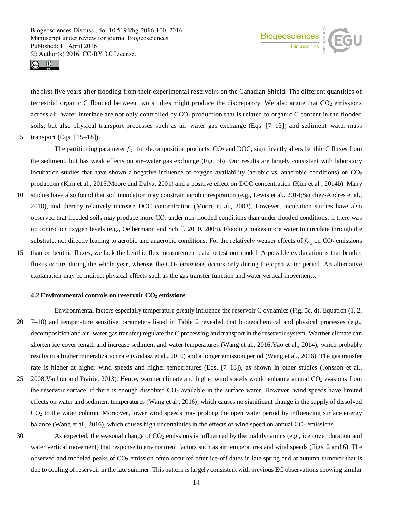



the first five years after flooding from their experimental reservoirs on the Canadian Shield. The different quantities of terrestrial organic C flooded between two studies might produce the discrepancy. We also argue that  $CO<sub>2</sub>$  emissions across air–water interface are not only controlled by  $CO<sub>2</sub>$  production that is related to organic C content in the flooded soils, but also physical transport processes such as air–water gas exchange (Eqs.  $[7-13]$ ) and sediment–water mass

5 transport (Eqs. [15–18]).

The partitioning parameter  $f_{O_2}$  for decomposition products: CO<sub>2</sub> and DOC, significantly alters benthic C fluxes from the sediment, but has weak effects on air–water gas exchange (Fig. 5b). Our results are largely consistent with laboratory incubation studies that have shown a negative influence of oxygen availability (aerobic vs. anaerobic conditions) on  $CO<sub>2</sub>$ production (Kim et al., 2015;Moore and Dalva, 2001) and a positive effect on DOC concentration (Kim et al., 2014b). Many

- 10 studies have also found that soil inundation may constrain aerobic respiration (e.g., Lewis et al., 2014;Sanchez-Andres et al., 2010), and thereby relatively increase DOC concentration (Moore et al., 2003). However, incubation studies have also observed that flooded soils may produce more  $CO<sub>2</sub>$  under non-flooded conditions than under flooded conditions, if there was no control on oxygen levels (e.g., Oelbermann and Schiff, 2010, 2008). Flooding makes more water to circulate through the substrate, not directly leading to aerobic and anaerobic conditions. For the relatively weaker effects of  $f_{0_2}$  on CO<sub>2</sub> emissions
- 15 than on benthic fluxes, we lack the benthic flux measurement data to test our model. A possible explanation is that benthic fluxes occurs during the whole year, whereas the  $CO<sub>2</sub>$  emissions occurs only during the open water period. An alternative explanation may be indirect physical effects such as the gas transfer function and water vertical movements.

#### **4.2 Environmental controls on reservoir CO<sup>2</sup> emissions**

Environmental factors especially temperature greatly influence the reservoir C dynamics (Fig. 5c, d). Equation (1, 2, 20 7–10) and temperature sensitive parameters listed in Table 2 revealed that biogeochemical and physical processes (e.g., decomposition and air–water gas transfer) regulate the C processing and transport in the reservoir system. Warmer climate can shorten ice cover length and increase sediment and water temperatures (Wang et al., 2016;Yao et al., 2014), which probably results in a higher mineralization rate (Gudasz et al., 2010) and a longer emission period (Wang et al., 2016). The gas transfer rate is higher at higher wind speeds and higher temperatures (Eqs. [7–13]), as shown in other studies (Jonsson et al., 25 2008;Vachon and Prairie, 2013). Hence, warmer climate and higher wind speeds would enhance annual CO<sub>2</sub> evasions from the reservoir surface, if there is enough dissolved  $CO<sub>2</sub>$  available in the surface water. However, wind speeds have limited effects on water and sediment temperatures (Wang et al., 2016), which causes no significant change in the supply of dissolved CO<sup>2</sup> to the water column. Moreover, lower wind speeds may prolong the open water period by influencing surface energy

balance (Wang et al., 2016), which causes high uncertainties in the effects of wind speed on annual  $CO<sub>2</sub>$  emissions.

30 As expected, the seasonal change of  $CO<sub>2</sub>$  emissions is influenced by thermal dynamics (e.g., ice cover duration and water vertical movement) that response to environment factors such as air temperatures and wind speeds (Figs. 2 and 6). The observed and modeled peaks of CO<sub>2</sub> emission often occurred after ice-off dates in late spring and at autumn turnover that is due to cooling of reservoir in the late summer. This pattern is largely consistent with previous EC observations showing similar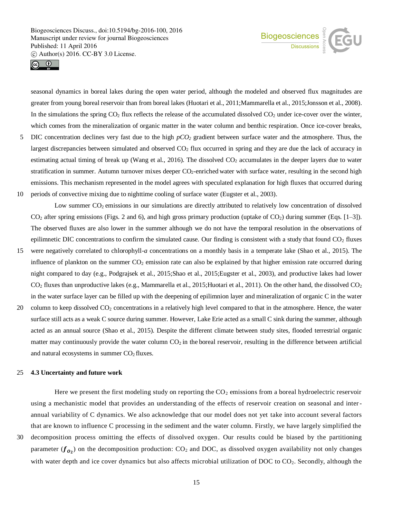



seasonal dynamics in boreal lakes during the open water period, although the modeled and observed flux magnitudes are greater from young boreal reservoir than from boreal lakes (Huotari et al., 2011;Mammarella et al., 2015;Jonsson et al., 2008). In the simulations the spring  $CO_2$  flux reflects the release of the accumulated dissolved  $CO_2$  under ice-cover over the winter, which comes from the mineralization of organic matter in the water column and benthic respiration. Once ice-cover breaks,

- 5 DIC concentration declines very fast due to the high *pCO<sup>2</sup>* gradient between surface water and the atmosphere. Thus, the largest discrepancies between simulated and observed  $CO<sub>2</sub>$  flux occurred in spring and they are due the lack of accuracy in estimating actual timing of break up (Wang et al., 2016). The dissolved  $CO<sub>2</sub>$  accumulates in the deeper layers due to water stratification in summer. Autumn turnover mixes deeper CO<sub>2</sub>-enriched water with surface water, resulting in the second high emissions. This mechanism represented in the model agrees with speculated explanation for high fluxes that occurred during
- 10 periods of convective mixing due to nighttime cooling of surface water (Eugster et al., 2003).

Low summer CO<sub>2</sub> emissions in our simulations are directly attributed to relatively low concentration of dissolved  $CO<sub>2</sub>$  after spring emissions (Figs. 2 and 6), and high gross primary production (uptake of  $CO<sub>2</sub>$ ) during summer (Eqs. [1–3]). The observed fluxes are also lower in the summer although we do not have the temporal resolution in the observations of epilimnetic DIC concentrations to confirm the simulated cause. Our finding is consistent with a study that found  $CO<sub>2</sub>$  fluxes

- 15 were negatively correlated to chlorophyll-*a* concentrations on a monthly basis in a temperate lake (Shao et al., 2015). The influence of plankton on the summer  $CO<sub>2</sub>$  emission rate can also be explained by that higher emission rate occurred during night compared to day (e.g., Podgrajsek et al., 2015;Shao et al., 2015;Eugster et al., 2003), and productive lakes had lower  $CO<sub>2</sub>$  fluxes than unproductive lakes (e.g., Mammarella et al., 2015; Huotari et al., 2011). On the other hand, the dissolved  $CO<sub>2</sub>$ in the water surface layer can be filled up with the deepening of epilimnion layer and mineralization of organic C in the water
- 20 column to keep dissolved CO<sup>2</sup> concentrations in a relatively high level compared to that in the atmosphere. Hence, the water surface still acts as a weak C source during summer. However, Lake Erie acted as a small C sink during the summer, although acted as an annual source (Shao et al., 2015). Despite the different climate between study sites, flooded terrestrial organic matter may continuously provide the water column  $CO<sub>2</sub>$  in the boreal reservoir, resulting in the difference between artificial and natural ecosystems in summer  $CO<sub>2</sub>$  fluxes.

## 25 **4.3 Uncertainty and future work**

Here we present the first modeling study on reporting the  $CO<sub>2</sub>$  emissions from a boreal hydroelectric reservoir using a mechanistic model that provides an understanding of the effects of reservoir creation on seasonal and interannual variability of C dynamics. We also acknowledge that our model does not yet take into account several factors that are known to influence C processing in the sediment and the water column. Firstly, we have largely simplified the

30 decomposition process omitting the effects of dissolved oxygen. Our results could be biased by the partitioning parameter ( $f_{\theta_2}$ ) on the decomposition production: CO<sub>2</sub> and DOC, as dissolved oxygen availability not only changes with water depth and ice cover dynamics but also affects microbial utilization of DOC to CO<sub>2</sub>. Secondly, although the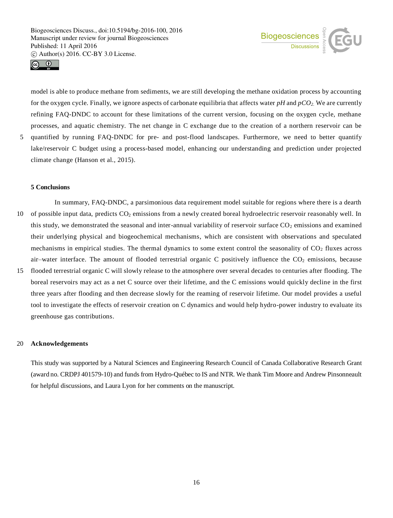



model is able to produce methane from sediments, we are still developing the methane oxidation process by accounting for the oxygen cycle. Finally, we ignore aspects of carbonate equilibria that affects water *pH* and *pCO2.* We are currently refining FAQ-DNDC to account for these limitations of the current version, focusing on the oxygen cycle, methane processes, and aquatic chemistry. The net change in C exchange due to the creation of a northern reservoir can be 5 quantified by running FAQ-DNDC for pre- and post-flood landscapes. Furthermore, we need to better quantify lake/reservoir C budget using a process-based model, enhancing our understanding and prediction under projected

# **5 Conclusions**

climate change (Hanson et al., 2015).

- In summary, FAQ-DNDC, a parsimonious data requirement model suitable for regions where there is a dearth 10 of possible input data, predicts  $CO_2$  emissions from a newly created boreal hydroelectric reservoir reasonably well. In this study, we demonstrated the seasonal and inter-annual variability of reservoir surface  $CO<sub>2</sub>$  emissions and examined their underlying physical and biogeochemical mechanisms, which are consistent with observations and speculated mechanisms in empirical studies. The thermal dynamics to some extent control the seasonality of  $CO<sub>2</sub>$  fluxes across air–water interface. The amount of flooded terrestrial organic C positively influence the  $CO<sub>2</sub>$  emissions, because
- 15 flooded terrestrial organic C will slowly release to the atmosphere over several decades to centuries after flooding. The boreal reservoirs may act as a net C source over their lifetime, and the C emissions would quickly decline in the first three years after flooding and then decrease slowly for the reaming of reservoir lifetime. Our model provides a useful tool to investigate the effects of reservoir creation on C dynamics and would help hydro-power industry to evaluate its greenhouse gas contributions.

## 20 **Acknowledgements**

This study was supported by a Natural Sciences and Engineering Research Council of Canada Collaborative Research Grant (award no. CRDPJ 401579-10) and funds from Hydro-Québec to IS and NTR. We thank Tim Moore and Andrew Pinsonneault for helpful discussions, and Laura Lyon for her comments on the manuscript.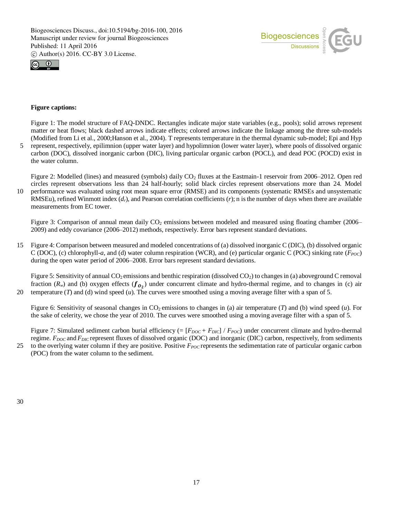



# **Figure captions:**

Figure 1: The model structure of FAQ-DNDC. Rectangles indicate major state variables (e.g., pools); solid arrows represent matter or heat flows; black dashed arrows indicate effects; colored arrows indicate the linkage among the three sub-models (Modified from Li et al., 2000;Hanson et al., 2004). T represents temperature in the thermal dynamic sub-model; Epi and Hyp 5 represent, respectively, epilimnion (upper water layer) and hypolimnion (lower water layer), where pools of dissolved organic carbon (DOC), dissolved inorganic carbon (DIC), living particular organic carbon (POCL), and dead POC (POCD) exist in the water column.

Figure 2: Modelled (lines) and measured (symbols) daily  $CO<sub>2</sub>$  fluxes at the Eastmain-1 reservoir from 2006–2012. Open red circles represent observations less than 24 half-hourly; solid black circles represent observations more than 24. Model

10 performance was evaluated using root mean square error (RMSE) and its components (systematic RMSEs and unsystematic RMSEu), refined Winmott index (*dr*), and Pearson correlation coefficients (*r*); n isthe number of days when there are available measurements from EC tower.

Figure 3: Comparison of annual mean daily  $CO<sub>2</sub>$  emissions between modeled and measured using floating chamber (2006– 2009) and eddy covariance (2006–2012) methods, respectively. Error bars represent standard deviations.

15 Figure 4: Comparison between measured and modeled concentrations of (a) dissolved inorganic C (DIC), (b) dissolved organic C (DOC), (c) chlorophyll-*a*, and (d) water column respiration (WCR), and (e) particular organic C (POC) sinking rate (*FPOC*) during the open water period of 2006–2008. Error bars represent standard deviations.

Figure 5: Sensitivity of annual  $CO_2$  emissions and benthic respiration (dissolved  $CO_2$ ) to changes in (a) aboveground C removal fraction ( $R_w$ ) and (b) oxygen effects ( $f_{0_2}$ ) under concurrent climate and hydro-thermal regime, and to changes in (c) air 20 temperature (*T*) and (d) wind speed (*u*). The curves were smoothed using a moving average filter with a span of 5.

Figure 6: Sensitivity of seasonal changes in  $CO<sub>2</sub>$  emissions to changes in (a) air temperature (*T*) and (b) wind speed (*u*). For the sake of celerity, we chose the year of 2010. The curves were smoothed using a moving average filter with a span of 5.

Figure 7: Simulated sediment carbon burial efficiency  $(=[F_{DOC} + F_{DIC}] / F_{POC})$  under concurrent climate and hydro-thermal regime. *F*<sub>*DOC*</sub> and *F*<sub>*DIC*</sub> represent fluxes of dissolved organic (DOC) and inorganic (DIC) carbon, respectively, from sediments

25 to the overlying water column if they are positive. Positive *FPOC* represents the sedimentation rate of particular organic carbon (POC) from the water column to the sediment.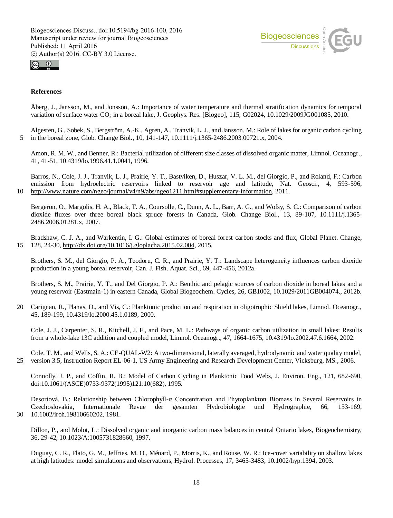



# **References**

Åberg, J., Jansson, M., and Jonsson, A.: Importance of water temperature and thermal stratification dynamics for temporal variation of surface water CO<sub>2</sub> in a boreal lake, J. Geophys. Res. [Biogeo], 115, G02024, 10.1029/2009JG001085, 2010.

Algesten, G., Sobek, S., Bergström, A.-K., Ågren, A., Tranvik, L. J., and Jansson, M.: Role of lakes for organic carbon cycling 5 in the boreal zone, Glob. Change Biol., 10, 141-147, 10.1111/j.1365-2486.2003.00721.x, 2004.

Amon, R. M. W., and Benner, R.: Bacterial utilization of different size classes of dissolved organic matter, Limnol. Oceanogr., 41, 41-51, 10.4319/lo.1996.41.1.0041, 1996.

Barros, N., Cole, J. J., Tranvik, L. J., Prairie, Y. T., Bastviken, D., Huszar, V. L. M., del Giorgio, P., and Roland, F.: Carbon emission from hydroelectric reservoirs linked to reservoir age and latitude, Nat. Geosci., 4, 593-596, 10 http://www.nature.com/ngeo/journal/v4/n9/abs/ngeo1211.html#supplementary-information, 2011.

Bergeron, O., Margolis, H. A., Black, T. A., Coursolle, C., Dunn, A. L., Barr, A. G., and Wofsy, S. C.: Comparison of carbon dioxide fluxes over three boreal black spruce forests in Canada, Glob. Change Biol., 13, 89-107, 10.1111/j.1365- 2486.2006.01281.x, 2007.

Bradshaw, C. J. A., and Warkentin, I. G.: Global estimates of boreal forest carbon stocks and flux, Global Planet. Change, 15 128, 24-30, http://dx.doi.org/10.1016/j.gloplacha.2015.02.004, 2015.

Brothers, S. M., del Giorgio, P. A., Teodoru, C. R., and Prairie, Y. T.: Landscape heterogeneity influences carbon dioxide production in a young boreal reservoir, Can. J. Fish. Aquat. Sci., 69, 447-456, 2012a.

Brothers, S. M., Prairie, Y. T., and Del Giorgio, P. A.: Benthic and pelagic sources of carbon dioxide in boreal lakes and a young reservoir (Eastmain-1) in eastern Canada, Global Biogeochem. Cycles, 26, GB1002, 10.1029/2011GB004074., 2012b.

20 Carignan, R., Planas, D., and Vis, C.: Planktonic production and respiration in oligotrophic Shield lakes, Limnol. Oceanogr., 45, 189-199, 10.4319/lo.2000.45.1.0189, 2000.

Cole, J. J., Carpenter, S. R., Kitchell, J. F., and Pace, M. L.: Pathways of organic carbon utilization in small lakes: Results from a whole-lake 13C addition and coupled model, Limnol. Oceanogr., 47, 1664-1675, 10.4319/lo.2002.47.6.1664, 2002.

Cole, T. M., and Wells, S. A.: CE-QUAL-W2: A two-dimensional, laterally averaged, hydrodynamic and water quality model, 25 version 3.5, Instruction Report EL-06-1, US Army Engineering and Research Development Center, Vicksburg, MS., 2006.

Connolly, J. P., and Coffin, R. B.: Model of Carbon Cycling in Planktonic Food Webs, J. Environ. Eng., 121, 682-690, doi:10.1061/(ASCE)0733-9372(1995)121:10(682), 1995.

Desortová, B.: Relationship between Chlorophyll-α Concentration and Phytoplankton Biomass in Several Reservoirs in Czechoslovakia, Internationale Revue der gesamten Hydrobiologie und Hydrographie, 66, 153-169, 30 10.1002/iroh.19810660202, 1981.

Dillon, P., and Molot, L.: Dissolved organic and inorganic carbon mass balances in central Ontario lakes, Biogeochemistry, 36, 29-42, 10.1023/A:1005731828660, 1997.

Duguay, C. R., Flato, G. M., Jeffries, M. O., Ménard, P., Morris, K., and Rouse, W. R.: Ice-cover variability on shallow lakes at high latitudes: model simulations and observations, Hydrol. Processes, 17, 3465-3483, 10.1002/hyp.1394, 2003.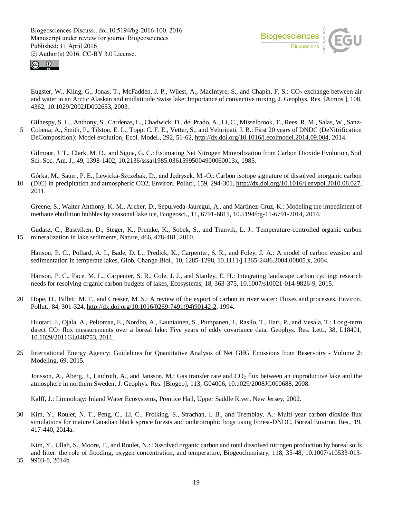



Eugster, W., Kling, G., Jonas, T., McFadden, J. P., Wüest, A., MacIntyre, S., and Chapin, F. S.: CO<sub>2</sub> exchange between air and water in an Arctic Alaskan and midlatitude Swiss lake: Importance of convective mixing, J. Geophys. Res. [Atmos.], 108, 4362, 10.1029/2002JD002653, 2003.

Gilhespy, S. L., Anthony, S., Cardenas, L., Chadwick, D., del Prado, A., Li, C., Misselbrook, T., Rees, R. M., Salas, W., Sanz-5 Cobena, A., Smith, P., Tilston, E. L., Topp, C. F. E., Vetter, S., and Yeluripati, J. B.: First 20 years of DNDC (DeNitrification DeComposition): Model evolution, Ecol. Model., 292, 51-62, http://dx.doi.org/10.1016/j.ecolmodel.2014.09.004, 2014.

Gilmour, J. T., Clark, M. D., and Sigua, G. C.: Estimating Net Nitrogen Mineralization from Carbon Dioxide Evolution, Soil Sci. Soc. Am. J., 49, 1398-1402, 10.2136/sssaj1985.03615995004900060013x, 1985.

Górka, M., Sauer, P. E., Lewicka-Szczebak, D., and Jędrysek, M.-O.: Carbon isotope signature of dissolved inorganic carbon 10 (DIC) in precipitation and atmospheric CO2, Environ. Pollut., 159, 294-301, http://dx.doi.org/10.1016/j.envpol.2010.08.027, 2011.

Greene, S., Walter Anthony, K. M., Archer, D., Sepulveda-Jauregui, A., and Martinez-Cruz, K.: Modeling the impediment of methane ebullition bubbles by seasonal lake ice, Biogeosci., 11, 6791-6811, 10.5194/bg-11-6791-2014, 2014.

Gudasz, C., Bastviken, D., Steger, K., Premke, K., Sobek, S., and Tranvik, L. J.: Temperature-controlled organic carbon 15 mineralization in lake sediments, Nature, 466, 478-481, 2010.

Hanson, P. C., Pollard, A. I., Bade, D. L., Predick, K., Carpenter, S. R., and Foley, J. A.: A model of carbon evasion and sedimentation in temperate lakes, Glob. Change Biol., 10, 1285-1298, 10.1111/j.1365-2486.2004.00805.x, 2004.

Hanson, P. C., Pace, M. L., Carpenter, S. R., Cole, J. J., and Stanley, E. H.: Integrating landscape carbon cycling: research needs for resolving organic carbon budgets of lakes, Ecosystems, 18, 363-375, 10.1007/s10021-014-9826-9, 2015.

20 Hope, D., Billett, M. F., and Cresser, M. S.: A review of the export of carbon in river water: Fluxes and processes, Environ. Pollut., 84, 301-324, http://dx.doi.org/10.1016/0269-7491(94)90142-2, 1994.

Huotari, J., Ojala, A., Peltomaa, E., Nordbo, A., Launiainen, S., Pumpanen, J., Rasilo, T., Hari, P., and Vesala, T.: Long-term direct CO<sub>2</sub> flux measurements over a boreal lake: Five years of eddy covariance data, Geophys. Res. Lett., 38, L18401, 10.1029/2011GL048753, 2011.

25 International Energy Agency: Guidelines for Quantitative Analysis of Net GHG Emissions from Reservoirs - Volume 2: Modeling, 69, 2015.

Jonsson, A., Åberg, J., Lindroth, A., and Jansson, M.: Gas transfer rate and  $CO<sub>2</sub>$  flux between an unproductive lake and the atmosphere in northern Sweden, J. Geophys. Res. [Biogeo], 113, G04006, 10.1029/2008JG000688, 2008.

Kalff, J.: Limnology: Inland Water Ecosystems, Prentice Hall, Upper Saddle River, New Jersey, 2002.

30 Kim, Y., Roulet, N. T., Peng, C., Li, C., Frolking, S., Strachan, I. B., and Tremblay, A.: Multi-year carbon dioxide flux simulations for mature Canadian black spruce forests and ombrotrophic bogs using Forest-DNDC, Boreal Environ. Res., 19, 417-440, 2014a.

Kim, Y., Ullah, S., Moore, T., and Roulet, N.: Dissolved organic carbon and total dissolved nitrogen production by boreal soils and litter: the role of flooding, oxygen concentration, and temperature, Biogeochemistry, 118, 35-48, 10.1007/s10533-013-

35 9903-8, 2014b.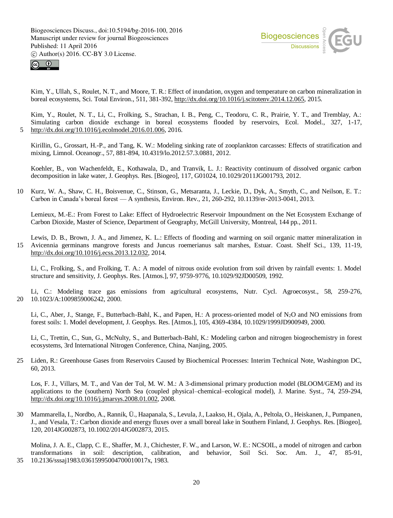



Kim, Y., Ullah, S., Roulet, N. T., and Moore, T. R.: Effect of inundation, oxygen and temperature on carbon mineralization in boreal ecosystems, Sci. Total Environ., 511, 381-392, http://dx.doi.org/10.1016/j.scitotenv.2014.12.065, 2015.

Kim, Y., Roulet, N. T., Li, C., Frolking, S., Strachan, I. B., Peng, C., Teodoru, C. R., Prairie, Y. T., and Tremblay, A.: Simulating carbon dioxide exchange in boreal ecosystems flooded by reservoirs, Ecol. Model., 327, 1-17, 5 http://dx.doi.org/10.1016/j.ecolmodel.2016.01.006, 2016.

Kirillin, G., Grossart, H.-P., and Tang, K. W.: Modeling sinking rate of zooplankton carcasses: Effects of stratification and mixing, Limnol. Oceanogr., 57, 881-894, 10.4319/lo.2012.57.3.0881, 2012.

Koehler, B., von Wachenfeldt, E., Kothawala, D., and Tranvik, L. J.: Reactivity continuum of dissolved organic carbon decomposition in lake water, J. Geophys. Res. [Biogeo], 117, G01024, 10.1029/2011JG001793, 2012.

10 Kurz, W. A., Shaw, C. H., Boisvenue, C., Stinson, G., Metsaranta, J., Leckie, D., Dyk, A., Smyth, C., and Neilson, E. T.: Carbon in Canada's boreal forest — A synthesis, Environ. Rev., 21, 260-292, 10.1139/er-2013-0041, 2013.

Lemieux, M.-E.: From Forest to Lake: Effect of Hydroelectric Reservoir Impoundment on the Net Ecosystem Exchange of Carbon Dioxide, Master of Science, Department of Geography, McGill University, Montreal, 144 pp., 2011.

Lewis, D. B., Brown, J. A., and Jimenez, K. L.: Effects of flooding and warming on soil organic matter mineralization in 15 Avicennia germinans mangrove forests and Juncus roemerianus salt marshes, Estuar. Coast. Shelf Sci., 139, 11-19, http://dx.doi.org/10.1016/j.ecss.2013.12.032, 2014.

Li, C., Frolking, S., and Frolking, T. A.: A model of nitrous oxide evolution from soil driven by rainfall events: 1. Model structure and sensitivity, J. Geophys. Res. [Atmos.], 97, 9759-9776, 10.1029/92JD00509, 1992.

Li, C.: Modeling trace gas emissions from agricultural ecosystems, Nutr. Cycl. Agroecosyst., 58, 259-276, 20 10.1023/A:1009859006242, 2000.

Li, C., Aber, J., Stange, F., Butterbach-Bahl, K., and Papen, H.: A process-oriented model of N<sub>2</sub>O and NO emissions from forest soils: 1. Model development, J. Geophys. Res. [Atmos.], 105, 4369-4384, 10.1029/1999JD900949, 2000.

Li, C., Trettin, C., Sun, G., McNulty, S., and Butterbach-Bahl, K.: Modeling carbon and nitrogen biogeochemistry in forest ecosystems, 3rd International Nitrogen Conference, China, Nanjing, 2005.

25 Liden, R.: Greenhouse Gases from Reservoirs Caused by Biochemical Processes: Interim Technical Note, Washington DC, 60, 2013.

Los, F. J., Villars, M. T., and Van der Tol, M. W. M.: A 3-dimensional primary production model (BLOOM/GEM) and its applications to the (southern) North Sea (coupled physical–chemical–ecological model), J. Marine. Syst., 74, 259-294, http://dx.doi.org/10.1016/j.jmarsys.2008.01.002, 2008.

30 Mammarella, I., Nordbo, A., Rannik, Ü., Haapanala, S., Levula, J., Laakso, H., Ojala, A., Peltola, O., Heiskanen, J., Pumpanen, J., and Vesala, T.: Carbon dioxide and energy fluxes over a small boreal lake in Southern Finland, J. Geophys. Res. [Biogeo], 120, 2014JG002873, 10.1002/2014JG002873, 2015.

Molina, J. A. E., Clapp, C. E., Shaffer, M. J., Chichester, F. W., and Larson, W. E.: NCSOIL, a model of nitrogen and carbon transformations in soil: description, calibration, and behavior, Soil Sci. Soc. Am. J., 47, 85-91, 35 10.2136/sssaj1983.03615995004700010017x, 1983.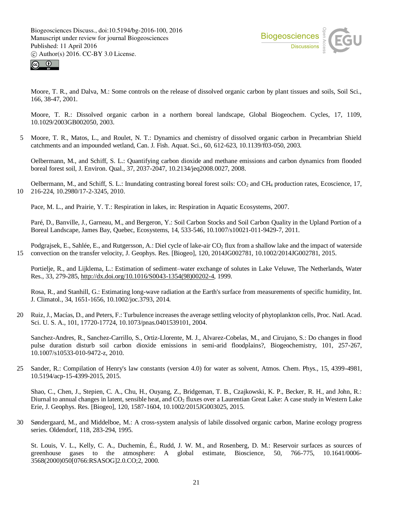



Moore, T. R., and Dalva, M.: Some controls on the release of dissolved organic carbon by plant tissues and soils, Soil Sci., 166, 38-47, 2001.

Moore, T. R.: Dissolved organic carbon in a northern boreal landscape, Global Biogeochem. Cycles, 17, 1109, 10.1029/2003GB002050, 2003.

5 Moore, T. R., Matos, L., and Roulet, N. T.: Dynamics and chemistry of dissolved organic carbon in Precambrian Shield catchments and an impounded wetland, Can. J. Fish. Aquat. Sci., 60, 612-623, 10.1139/f03-050, 2003.

Oelbermann, M., and Schiff, S. L.: Quantifying carbon dioxide and methane emissions and carbon dynamics from flooded boreal forest soil, J. Environ. Qual., 37, 2037-2047, 10.2134/jeq2008.0027, 2008.

Oelbermann, M., and Schiff, S. L.: Inundating contrasting boreal forest soils:  $CO<sub>2</sub>$  and CH<sub>4</sub> production rates, Ecoscience, 17, 10 216-224, 10.2980/17-2-3245, 2010.

Pace, M. L., and Prairie, Y. T.: Respiration in lakes, in: Respiration in Aquatic Ecosystems, 2007.

Paré, D., Banville, J., Garneau, M., and Bergeron, Y.: Soil Carbon Stocks and Soil Carbon Quality in the Upland Portion of a Boreal Landscape, James Bay, Quebec, Ecosystems, 14, 533-546, 10.1007/s10021-011-9429-7, 2011.

Podgrajsek, E., Sahlée, E., and Rutgersson, A.: Diel cycle of lake-air CO<sub>2</sub> flux from a shallow lake and the impact of waterside 15 convection on the transfer velocity, J. Geophys. Res. [Biogeo], 120, 2014JG002781, 10.1002/2014JG002781, 2015.

Portielje, R., and Lijklema, L.: Estimation of sediment–water exchange of solutes in Lake Veluwe, The Netherlands, Water Res., 33, 279-285, http://dx.doi.org/10.1016/S0043-1354(98)00202-4, 1999.

Rosa, R., and Stanhill, G.: Estimating long-wave radiation at the Earth's surface from measurements of specific humidity, Int. J. Climatol., 34, 1651-1656, 10.1002/joc.3793, 2014.

20 Ruiz, J., Macías, D., and Peters, F.: Turbulence increases the average settling velocity of phytoplankton cells, Proc. Natl. Acad. Sci. U. S. A., 101, 17720-17724, 10.1073/pnas.0401539101, 2004.

Sanchez-Andres, R., Sanchez-Carrillo, S., Ortiz-Llorente, M. J., Alvarez-Cobelas, M., and Cirujano, S.: Do changes in flood pulse duration disturb soil carbon dioxide emissions in semi-arid floodplains?, Biogeochemistry, 101, 257-267, 10.1007/s10533-010-9472-z, 2010.

25 Sander, R.: Compilation of Henry's law constants (version 4.0) for water as solvent, Atmos. Chem. Phys., 15, 4399-4981, 10.5194/acp-15-4399-2015, 2015.

Shao, C., Chen, J., Stepien, C. A., Chu, H., Ouyang, Z., Bridgeman, T. B., Czajkowski, K. P., Becker, R. H., and John, R.: Diurnal to annual changes in latent, sensible heat, and CO<sub>2</sub> fluxes over a Laurentian Great Lake: A case study in Western Lake Erie, J. Geophys. Res. [Biogeo], 120, 1587-1604, 10.1002/2015JG003025, 2015.

30 Søndergaard, M., and Middelboe, M.: A cross-system analysis of labile dissolved organic carbon, Marine ecology progress series. Oldendorf, 118, 283-294, 1995.

St. Louis, V. L., Kelly, C. A., Duchemin, É., Rudd, J. W. M., and Rosenberg, D. M.: Reservoir surfaces as sources of greenhouse gases to the atmosphere: A global estimate, Bioscience, 50, 766-775, 10.1641/0006- 3568(2000)050[0766:RSASOG]2.0.CO;2, 2000.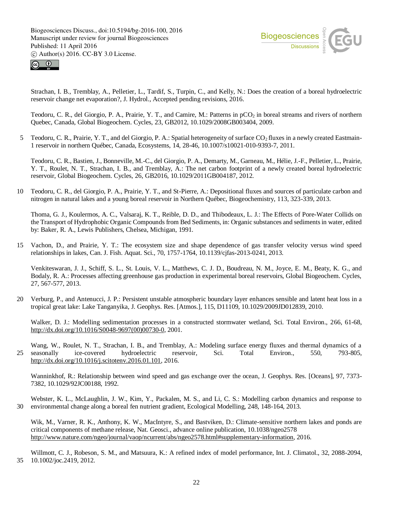



Strachan, I. B., Tremblay, A., Pelletier, L., Tardif, S., Turpin, C., and Kelly, N.: Does the creation of a boreal hydroelectric reservoir change net evaporation?, J. Hydrol., Accepted pending revisions, 2016.

Teodoru, C. R., del Giorgio, P. A., Prairie, Y. T., and Camire, M.: Patterns in pCO<sub>2</sub> in boreal streams and rivers of northern Quebec, Canada, Global Biogeochem. Cycles, 23, GB2012, 10.1029/2008GB003404, 2009.

5 Teodoru, C. R., Prairie, Y. T., and del Giorgio, P. A.: Spatial heterogeneity of surface  $CO<sub>2</sub>$  fluxes in a newly created Eastmain-1 reservoir in northern Québec, Canada, Ecosystems, 14, 28-46, 10.1007/s10021-010-9393-7, 2011.

Teodoru, C. R., Bastien, J., Bonneville, M.-C., del Giorgio, P. A., Demarty, M., Garneau, M., Hélie, J.-F., Pelletier, L., Prairie, Y. T., Roulet, N. T., Strachan, I. B., and Tremblay, A.: The net carbon footprint of a newly created boreal hydroelectric reservoir, Global Biogeochem. Cycles, 26, GB2016, 10.1029/2011GB004187, 2012.

10 Teodoru, C. R., del Giorgio, P. A., Prairie, Y. T., and St-Pierre, A.: Depositional fluxes and sources of particulate carbon and nitrogen in natural lakes and a young boreal reservoir in Northern Québec, Biogeochemistry, 113, 323-339, 2013.

Thoma, G. J., Koulermos, A. C., Valsaraj, K. T., Reible, D. D., and Thibodeaux, L. J.: The Effects of Pore-Water Collids on the Transport of Hydrophobic Organic Compounds from Bed Sediments, in: Organic substances and sediments in water, edited by: Baker, R. A., Lewis Publishers, Chelsea, Michigan, 1991.

15 Vachon, D., and Prairie, Y. T.: The ecosystem size and shape dependence of gas transfer velocity versus wind speed relationships in lakes, Can. J. Fish. Aquat. Sci., 70, 1757-1764, 10.1139/cjfas-2013-0241, 2013.

Venkiteswaran, J. J., Schiff, S. L., St. Louis, V. L., Matthews, C. J. D., Boudreau, N. M., Joyce, E. M., Beaty, K. G., and Bodaly, R. A.: Processes affecting greenhouse gas production in experimental boreal reservoirs, Global Biogeochem. Cycles, 27, 567-577, 2013.

20 Verburg, P., and Antenucci, J. P.: Persistent unstable atmospheric boundary layer enhances sensible and latent heat loss in a tropical great lake: Lake Tanganyika, J. Geophys. Res. [Atmos.], 115, D11109, 10.1029/2009JD012839, 2010.

Walker, D. J.: Modelling sedimentation processes in a constructed stormwater wetland, Sci. Total Environ., 266, 61-68, http://dx.doi.org/10.1016/S0048-9697(00)00730-0, 2001.

Wang, W., Roulet, N. T., Strachan, I. B., and Tremblay, A.: Modeling surface energy fluxes and thermal dynamics of a 25 seasonally ice-covered hydroelectric reservoir, Sci. Total Environ., 550, 793-805, http://dx.doi.org/10.1016/j.scitotenv.2016.01.101, 2016.

Wanninkhof, R.: Relationship between wind speed and gas exchange over the ocean, J. Geophys. Res. [Oceans], 97, 7373-7382, 10.1029/92JC00188, 1992.

Webster, K. L., McLaughlin, J. W., Kim, Y., Packalen, M. S., and Li, C. S.: Modelling carbon dynamics and response to 30 environmental change along a boreal fen nutrient gradient, Ecological Modelling, 248, 148-164, 2013.

Wik, M., Varner, R. K., Anthony, K. W., MacIntyre, S., and Bastviken, D.: Climate-sensitive northern lakes and ponds are critical components of methane release, Nat. Geosci., advance online publication, 10.1038/ngeo2578 http://www.nature.com/ngeo/journal/vaop/ncurrent/abs/ngeo2578.html#supplementary-information, 2016.

Willmott, C. J., Robeson, S. M., and Matsuura, K.: A refined index of model performance, Int. J. Climatol., 32, 2088-2094, 35 10.1002/joc.2419, 2012.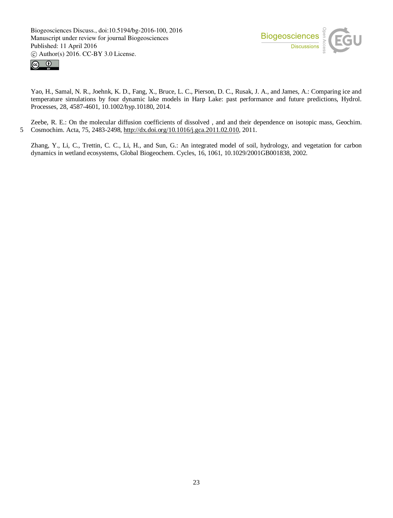



Yao, H., Samal, N. R., Joehnk, K. D., Fang, X., Bruce, L. C., Pierson, D. C., Rusak, J. A., and James, A.: Comparing ice and temperature simulations by four dynamic lake models in Harp Lake: past performance and future predictions, Hydrol. Processes, 28, 4587-4601, 10.1002/hyp.10180, 2014.

Zeebe, R. E.: On the molecular diffusion coefficients of dissolved , and and their dependence on isotopic mass, Geochim. 5 Cosmochim. Acta, 75, 2483-2498, http://dx.doi.org/10.1016/j.gca.2011.02.010, 2011.

Zhang, Y., Li, C., Trettin, C. C., Li, H., and Sun, G.: An integrated model of soil, hydrology, and vegetation for carbon dynamics in wetland ecosystems, Global Biogeochem. Cycles, 16, 1061, 10.1029/2001GB001838, 2002.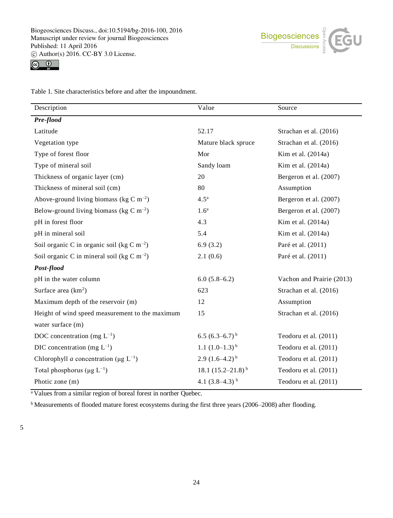



Table 1. Site characteristics before and after the impoundment.

| Description                                             | Value                  | Source                    |  |  |  |
|---------------------------------------------------------|------------------------|---------------------------|--|--|--|
| Pre-flood                                               |                        |                           |  |  |  |
| Latitude                                                | 52.17                  | Strachan et al. (2016)    |  |  |  |
| Vegetation type                                         | Mature black spruce    | Strachan et al. (2016)    |  |  |  |
| Type of forest floor                                    | Mor                    | Kim et al. (2014a)        |  |  |  |
| Type of mineral soil                                    | Sandy loam             | Kim et al. (2014a)        |  |  |  |
| Thickness of organic layer (cm)                         | 20                     | Bergeron et al. (2007)    |  |  |  |
| Thickness of mineral soil (cm)                          | 80                     | Assumption                |  |  |  |
| Above-ground living biomass (kg C $m^{-2}$ )            | 4.5 <sup>a</sup>       | Bergeron et al. (2007)    |  |  |  |
| Below-ground living biomass (kg C $m^{-2}$ )            | 1.6 <sup>a</sup>       | Bergeron et al. (2007)    |  |  |  |
| pH in forest floor                                      | 4.3                    | Kim et al. (2014a)        |  |  |  |
| pH in mineral soil                                      | 5.4                    | Kim et al. (2014a)        |  |  |  |
| Soil organic C in organic soil (kg C m <sup>-2</sup> )  | 6.9(3.2)               | Paré et al. (2011)        |  |  |  |
| Soil organic C in mineral soil (kg C m <sup>-2</sup> )  | 2.1(0.6)               | Paré et al. (2011)        |  |  |  |
| Post-flood                                              |                        |                           |  |  |  |
| pH in the water column                                  | $6.0(5.8-6.2)$         | Vachon and Prairie (2013) |  |  |  |
| Surface area $(km^2)$                                   | 623                    | Strachan et al. (2016)    |  |  |  |
| Maximum depth of the reservoir (m)                      | 12                     | Assumption                |  |  |  |
| Height of wind speed measurement to the maximum         | 15                     | Strachan et al. (2016)    |  |  |  |
| water surface (m)                                       |                        |                           |  |  |  |
| DOC concentration (mg $L^{-1}$ )                        | 6.5 $(6.3-6.7)^{b}$    | Teodoru et al. (2011)     |  |  |  |
| DIC concentration (mg $L^{-1}$ )                        | 1.1 $(1.0-1.3)^{b}$    | Teodoru et al. (2011)     |  |  |  |
| Chlorophyll a concentration ( $\mu$ g L <sup>-1</sup> ) | 2.9 $(1.6-4.2)^{b}$    | Teodoru et al. (2011)     |  |  |  |
| Total phosphorus ( $\mu$ g L <sup>-1</sup> )            | 18.1 $(15.2-21.8)^{b}$ | Teodoru et al. (2011)     |  |  |  |
| Photic zone (m)                                         | 4.1 $(3.8-4.3)^{b}$    | Teodoru et al. (2011)     |  |  |  |

<sup>a</sup> Values from a similar region of boreal forest in norther Quebec.

<sup>b</sup> Measurements of flooded mature forest ecosystems during the first three years (2006–2008) after flooding.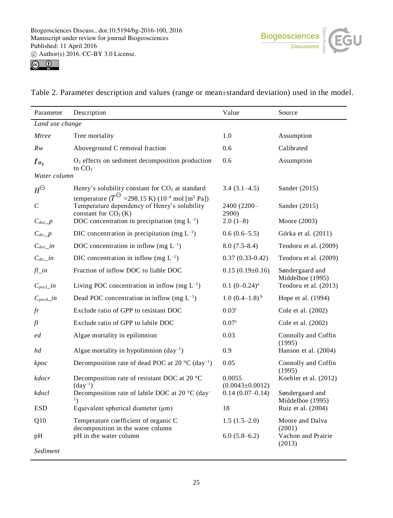



|  |  |  | Table 2. Parameter description and values (range or mean±standard deviation) used in the model. |  |  |  |
|--|--|--|-------------------------------------------------------------------------------------------------|--|--|--|
|--|--|--|-------------------------------------------------------------------------------------------------|--|--|--|

| Parameter              | Description                                                                                                                                                | Value                           | Source                                    |  |  |  |
|------------------------|------------------------------------------------------------------------------------------------------------------------------------------------------------|---------------------------------|-------------------------------------------|--|--|--|
| Land use change        |                                                                                                                                                            |                                 |                                           |  |  |  |
| <b>Mtree</b>           | Tree mortality                                                                                                                                             | 1.0                             | Assumption                                |  |  |  |
| $R_{W}$                | Aboveground C removal fraction                                                                                                                             | 0.6                             | Calibrated                                |  |  |  |
| $f_{\boldsymbol{0}_2}$ | $O2$ effects on sediment decomposition production<br>to $CO2$                                                                                              | 0.6                             | Assumption                                |  |  |  |
| Water column           |                                                                                                                                                            |                                 |                                           |  |  |  |
| $H^{\ominus}$          | Henry's solubility constant for $CO2$ at standard                                                                                                          | $3.4(3.1-4.5)$                  | Sander $(2015)$                           |  |  |  |
| $\boldsymbol{C}$       | temperature ( $T^{\ominus}$ =298.15 K) (10 <sup>-4</sup> mol [m <sup>3</sup> Pa])<br>Temperature dependency of Henry's solubility<br>constant for $CO2(K)$ | 2400 (2200-<br>2900)            | Sander $(2015)$                           |  |  |  |
| $C_{doc\_p}$           | DOC concentration in precipitation (mg $L^{-1}$ )                                                                                                          | $2.0(1-8)$                      | Moore (2003)                              |  |  |  |
| $C_{dic\_p}$           | DIC concentration in precipitation (mg $L^{-1}$ )                                                                                                          | $0.6(0.6-5.5)$                  | Górka et al. (2011)                       |  |  |  |
| $C_{doc\_in}$          | DOC concentration in inflow (mg $L^{-1}$ )                                                                                                                 | $8.0(7.5-8.4)$                  | Teodoru et al. (2009)                     |  |  |  |
| $C_{dic}\_in$          | DIC concentration in inflow (mg $L^{-1}$ )                                                                                                                 | $0.37(0.33-0.42)$               | Teodoru et al. (2009)                     |  |  |  |
| $fl\_in$               | Fraction of inflow DOC to liable DOC                                                                                                                       | $0.15(0.19\pm0.16)$             | Søndergaard and                           |  |  |  |
| $C_{pocl}\_in$         | Living POC concentration in inflow (mg $L^{-1}$ )                                                                                                          | $0.1 (0 - 0.24)^a$              | Middelboe (1995)<br>Teodoru et al. (2013) |  |  |  |
| $C_{pocd}\_{in}$       | Dead POC concentration in inflow (mg $L^{-1}$ )                                                                                                            | $1.0 (0.4-1.8)^{b}$             | Hope et al. (1994)                        |  |  |  |
| fr                     | Exclude ratio of GPP to resistant DOC                                                                                                                      | 0.03 <sup>c</sup>               | Cole et al. (2002)                        |  |  |  |
| $f$ l                  | Exclude ratio of GPP to labile DOC                                                                                                                         | 0.07c                           | Cole et al. (2002)                        |  |  |  |
| ed                     | Algae mortality in epilimnion                                                                                                                              | 0.03                            | Connolly and Coffin<br>(1995)             |  |  |  |
| hd                     | Algae mortality in hypolimnion $\text{(day}^{-1})$                                                                                                         | 0.9                             | Hanson et al. (2004)                      |  |  |  |
| kpoc                   | Decomposition rate of dead POC at 20 $^{\circ}$ C (day <sup>-1</sup> )                                                                                     | 0.05                            | Connolly and Coffin<br>(1995)             |  |  |  |
| kdocr                  | Decomposition rate of resistant DOC at 20 °C<br>$(\text{day}^{-1})$                                                                                        | 0.0055<br>$(0.0043 \pm 0.0012)$ | Koehler et al. (2012)                     |  |  |  |
| kdocl                  | Decomposition rate of labile DOC at 20 °C (day-                                                                                                            | $0.14(0.07-0.14)$               | Søndergaard and<br>Middelboe (1995)       |  |  |  |
| <b>ESD</b>             | Equivalent spherical diameter $(\mu m)$                                                                                                                    | 18                              | Ruiz et al. (2004)                        |  |  |  |
| Q10                    | Temperature coefficient of organic C<br>decomposition in the water column                                                                                  | $1.5(1.5-2.0)$                  | Moore and Dalva<br>(2001)                 |  |  |  |
| pH                     | pH in the water column                                                                                                                                     | $6.0(5.8-6.2)$                  | Vachon and Prairie<br>(2013)              |  |  |  |
| Sediment               |                                                                                                                                                            |                                 |                                           |  |  |  |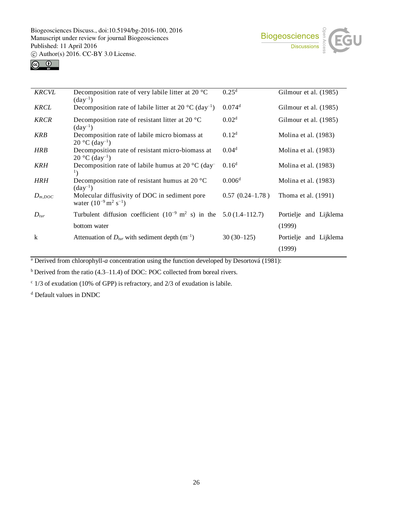



| <b>KRCVL</b> | Decomposition rate of very labile litter at 20 $^{\circ}$ C                                   | 0.25 <sup>d</sup>    | Gilmour et al. (1985)            |
|--------------|-----------------------------------------------------------------------------------------------|----------------------|----------------------------------|
| <b>KRCL</b>  | $(\text{day}^{-1})$<br>Decomposition rate of labile litter at 20 °C (day <sup>-1</sup> )      | $0.074$ <sup>d</sup> | Gilmour et al. (1985)            |
| <b>KRCR</b>  | Decomposition rate of resistant litter at 20 $^{\circ}$ C<br>$(\text{day}^{-1})$              | 0.02 <sup>d</sup>    | Gilmour et al. (1985)            |
| <b>KRB</b>   | Decomposition rate of labile micro biomass at<br>$20^{\circ}$ C (day <sup>-1</sup> )          | 0.12 <sup>d</sup>    | Molina et al. (1983)             |
| <b>HRB</b>   | Decomposition rate of resistant micro-biomass at<br>$20^{\circ}$ C (day <sup>-1</sup> )       | 0.04 <sup>d</sup>    | Molina et al. (1983)             |
| <b>KRH</b>   | Decomposition rate of labile humus at 20 $^{\circ}$ C (day<br>$\mathbf{1}_{\lambda}$          | 0.16 <sup>d</sup>    | Molina et al. (1983)             |
| <b>HRH</b>   | Decomposition rate of resistant humus at 20 $\degree$ C<br>$(\text{day}^{-1})$                | 0.006 <sup>d</sup>   | Molina et al. (1983)             |
| $D_{m,DOC}$  | Molecular diffusivity of DOC in sediment pore<br>water $(10^{-9} \text{ m}^2 \text{ s}^{-1})$ | $0.57(0.24 - 1.78)$  | Thoma et al. (1991)              |
| $D_{tur}$    | Turbulent diffusion coefficient $(10^{-9} \text{ m}^2 \text{ s})$ in the 5.0 (1.4–112.7)      |                      | Portielje and Lijklema           |
|              | bottom water                                                                                  |                      | (1999)                           |
| k            | Attenuation of $D_{tur}$ with sediment depth $(m^{-1})$                                       | $30(30-125)$         | Portielje and Lijklema<br>(1999) |

<sup>a</sup> Derived from chlorophyll-*a* concentration using the function developed by Desortová (1981):

<sup>b</sup> Derived from the ratio (4.3–11.4) of DOC: POC collected from boreal rivers.

 $\cdot$  1/3 of exudation (10% of GPP) is refractory, and 2/3 of exudation is labile.

<sup>d</sup> Default values in DNDC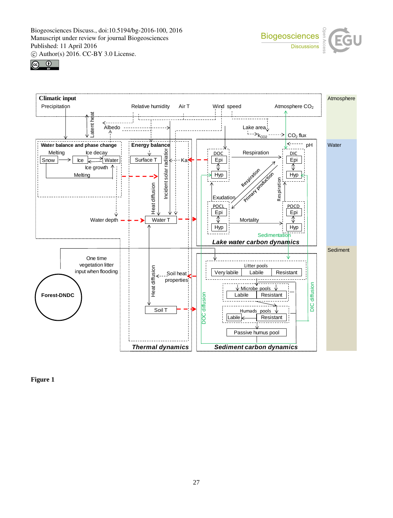





**Figure 1**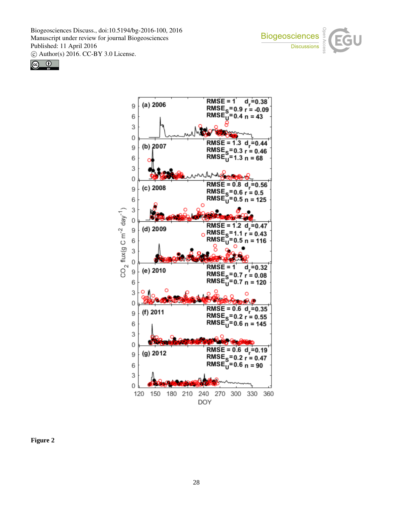





**Figure 2**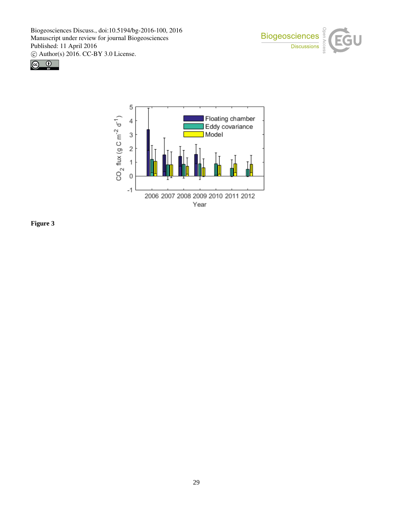





**Figure 3**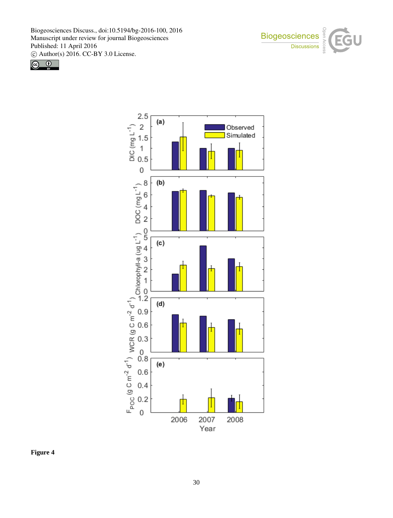





**Figure 4**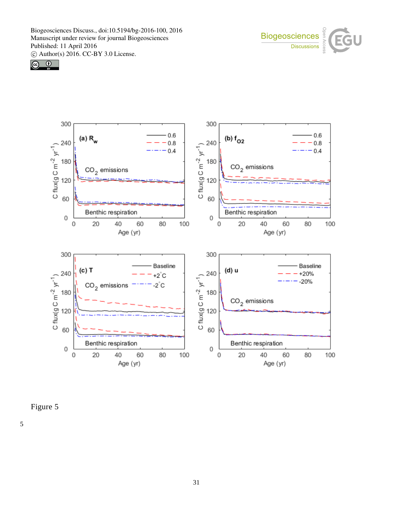





Figure 5

5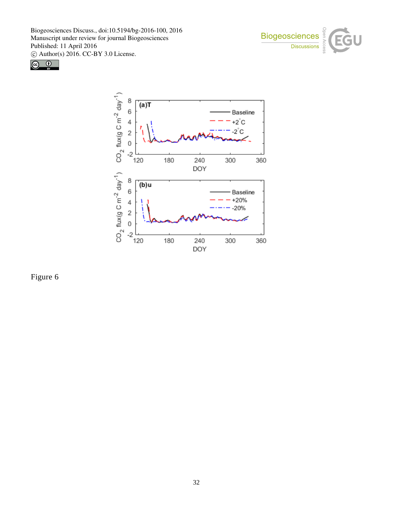





Figure 6